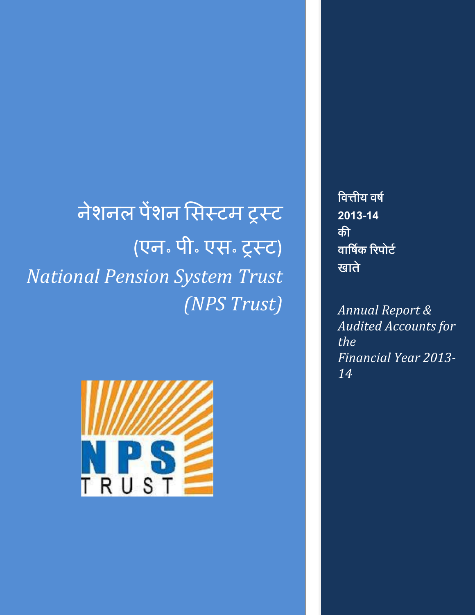नेशनल पेंशन सिस्टम ट्रस्ट (एन॰ पी॰ एस॰ ट्रस्ट) *National Pension System Trust (NPS Trust)*



<u>वित्तीय वर्ष</u> **2013-14** <u>की</u> वार्षिक रिपोर्ट खाते

*Annual Report & Audited Accounts for the Financial Year 2013- 14*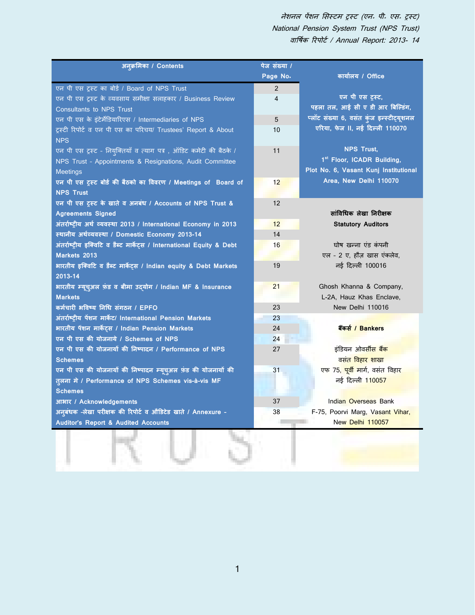| अनुक्रमिका / Contents                                                  | पेज संख्या /   |                                               |
|------------------------------------------------------------------------|----------------|-----------------------------------------------|
|                                                                        | Page No.       | कार्यालय / Office                             |
| एन पी एस ट्रस्ट का बोर्ड / Board of NPS Trust                          | 2              |                                               |
| एन पी एस ट्रस्ट के व्यवसाय समीक्षा सलाहकार / Business Review           | $\overline{4}$ | एन पी एस ट्रस्ट,                              |
| <b>Consultants to NPS Trust</b>                                        |                | पहला तल, आई सी ए डी आर बिल्डिंग,              |
| एन पी एस के इंटेर्मेडियारिएस / Intermediaries of NPS                   | 5              | प्लॉट संख्या 6, वसंत कुंज इन्स्टीट्यूशनल      |
| ट्रस्टी रिपोर्ट व एन पी एस का परिचय/ Trustees' Report & About          | 10             | एरिया, फेज II, नई दिल्ली 110070               |
| <b>NPS</b>                                                             |                |                                               |
| एन पी एस ट्रस्ट - नियुक्तियाँ व त्याग पत्र, ऑडिट कमेटी की बैठके /      | 11             | <b>NPS Trust,</b>                             |
| NPS Trust - Appointments & Resignations, Audit Committee               |                | 1st Floor, ICADR Building,                    |
| <b>Meetings</b>                                                        |                | Plot No. 6, Vasant Kunj Institutional         |
| एन पी एस ट्रस्ट बोर्ड की बैठको का विवरण / Meetings of Board of         | 12             | Area, New Delhi 110070                        |
| <b>NPS Trust</b>                                                       |                |                                               |
| एन पी एस ट्रस्ट के खाते व अनबंध / Accounts of NPS Trust &              | 12             |                                               |
| <b>Agreements Signed</b>                                               |                | सांविधिक लेखा निरीक्षक                        |
| अंतर्राष्ट्रीय अर्थ व्यवस्था 2013 / International Economy in 2013      | 12             | <b>Statutory Auditors</b>                     |
| स्थानीय अर्थव्यवस्था / Domestic Economy 2013-14                        | 14             |                                               |
| अंतर्राष्ट्रीय इक्विटि व डैब्ट मार्केट्स / International Equity & Debt | 16             | घोष खन्ना एंड कंपनी                           |
| Markets 2013                                                           |                | एल - 2 ए, हौज़ खास एंकलेव,                    |
| भारतीय इक्विटि व डैब्ट मार्केट्स / Indian equity & Debt Markets        | 19             | नई दिल्ली 100016                              |
| 2013-14                                                                |                |                                               |
| भारतीय म्यूच्अल फ़ंड व बीमा उदयोग / Indian MF & Insurance              | 21             | Ghosh Khanna & Company,                       |
| <b>Markets</b>                                                         |                | L-2A, Hauz Khas Enclave,                      |
| कर्मचारी भविष्य निधि संगठन / EPFO                                      | 23             | New Delhi 110016                              |
| अंतर्राष्ट्रीय पेंशन मार्केट/ International Pension Markets            | 23             |                                               |
| भारतीय पेंशन मार्केट्स / Indian Pension Markets                        | 24             | बैंकर्स / Bankers                             |
| एन पी एस की योजनाये / Schemes of NPS                                   | 24             |                                               |
| एन पी एस की योजनायों की निष्पादन / Performance of NPS                  | 27             | इंडियन ओवर्सी <mark>स बैंक</mark>             |
| <b>Schemes</b>                                                         |                | वसं <mark>त विहार शाखा</mark>                 |
| एन पी एस की योजनायों की निष्पादन म्यूच्अल फ़ंड की योजनायों की          | 31             | एफ 75, <mark>पूर्वी मा</mark> र्ग, वसंत विहार |
| त्लना में / Performance of NPS Schemes vis-à-vis MF                    |                | नई दिल्ली 110057                              |
| <b>Schemes</b>                                                         |                |                                               |
| आभार / Acknowledgements                                                | 37             | Indian Overseas Bank                          |
| अन्बंधक -लेखा परीक्षक की रिपोर्ट व औडिटेड खाते / Annexure -            | 38             | F-75, Poorvi Marg, Vasant Vihar,              |
| Auditor's Report & Audited Accounts                                    |                | New Delhi 110057                              |
|                                                                        |                |                                               |
|                                                                        |                |                                               |
|                                                                        |                |                                               |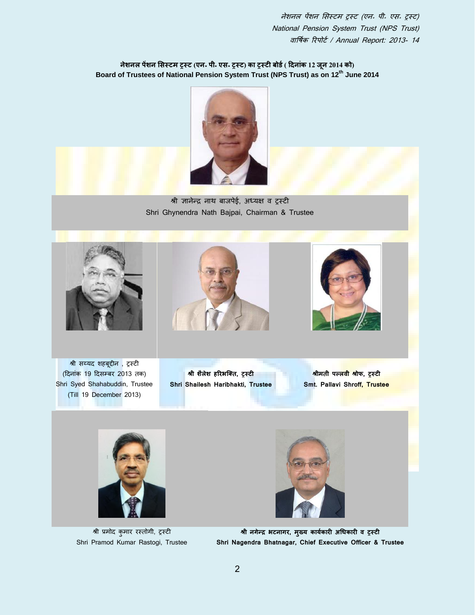नेशनल पेंशन सिस्टम ट्र्स्ट (एन. पी. एस. ट्र्स्ट) का ट्र्स्टी बोर्ड ( दिनांक 12 जून 2014 को) **Board of Trustees of National Pension System Trust (NPS Trust) as on 12th June 2014**



श्री ज्ञानेन्र नाथ बाजपेई, अध्यक्ष व ट्रस्टी Shri Ghynendra Nath Bajpai, Chairman & Trustee







श्री सय्यद शहबूद्दीन , ट्रस्टी (दिनांक 19 दिसम्बर 2013 तक) Shri Syed Shahabuddin, Trustee (Till 19 December 2013)

**श्री शैलेश हररभलवत, ट्रस्टी Shri Shailesh Haribhakti, Trustee**

**श्रीिती प्लवी श्रोफ, ट्रस्टी Smt. Pallavi Shroff, Trustee**



श्री प्रमोद कुमार रस्तोगी, ट्रस्टी Shri Pramod Kumar Rastogi, Trustee



**श्री नगेन्सर भटनागर, िुख्य कायका ारी अधधकारी व ट्रस्टी Shri Nagendra Bhatnagar, Chief Executive Officer & Trustee**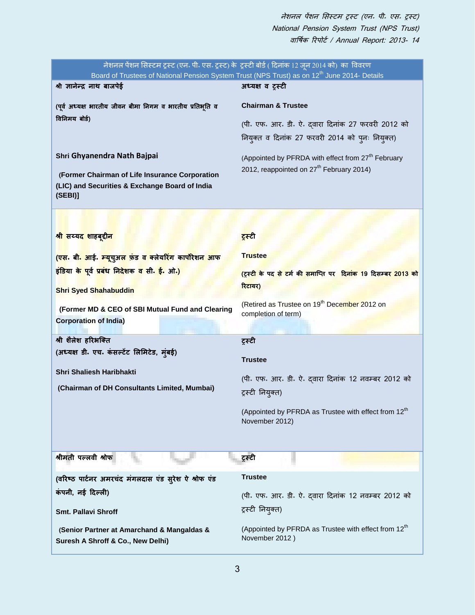|                                                                                                                                               | नेशनल पेंशन सिस्टम ट्रस्ट (एन॰ पी॰ एस॰ ट्रस्ट) के ट्रस्टी बोर्ड ( दिनांक 12 जून 2014 को) का विवरण<br>Board of Trustees of National Pension System Trust (NPS Trust) as on 12 <sup>th</sup> June 2014- Details |
|-----------------------------------------------------------------------------------------------------------------------------------------------|---------------------------------------------------------------------------------------------------------------------------------------------------------------------------------------------------------------|
| श्री ज्ञानेन्द्र नाथ बाजपेई                                                                                                                   | अध्यक्ष व ट्रस्टी                                                                                                                                                                                             |
| (पूर्व अध्यक्ष भारतीय जीवन बीमा निगम व भारतीय प्रतिभूति व<br>विनिमय बोर्ड)                                                                    | <b>Chairman &amp; Trustee</b><br>(पी. एफ. आर. डी. ऐ. दवारा दिनांक 27 फरवरी 2012 को<br>नियुक्त व दिनांक 27 फरवरी 2014 को पुनः नियुक्त)                                                                         |
| Shri Ghyanendra Nath Bajpai<br>(Former Chairman of Life Insurance Corporation<br>(LIC) and Securities & Exchange Board of India<br>(SEBI)     | (Appointed by PFRDA with effect from 27 <sup>th</sup> February<br>2012, reappointed on 27 <sup>th</sup> February 2014)                                                                                        |
|                                                                                                                                               |                                                                                                                                                                                                               |
| श्री सय्यद शाहबूद्दीन                                                                                                                         | ट्रस्टी                                                                                                                                                                                                       |
| <mark>(एस</mark> . बी <mark>. आई. म्यू</mark> चुअ <mark>ल फ़ंड व क्लेयरिंग कार्पोरेशन आफ</mark>                                               | <b>Trustee</b>                                                                                                                                                                                                |
| इंडिया के पूर्व प्रबंध निदेशक व सी. ई. ओ.)                                                                                                    | (ट्रस्टी के पद से टर्म की समाप्ति पर दिनांक 19 दिसम्बर 2013 को                                                                                                                                                |
| <b>Shri Syed Shahabuddin</b>                                                                                                                  | रिटायर)                                                                                                                                                                                                       |
| (Former MD & CEO of SBI Mutual Fund and Clearing<br><b>Corporation of India)</b>                                                              | (Retired as Trustee on 19 <sup>th</sup> December 2012 on<br>completion of term)                                                                                                                               |
| श्री शैलेश हरिभक्ति<br>(अध्यक्ष डी. एच. कंसल्टेंट लिमिटेड, मुंबई)<br>Shri Shaliesh Haribhakti<br>(Chairman of DH Consultants Limited, Mumbai) | ट्रस्टी<br><b>Trustee</b><br>(पी. एफ. आर. डी. ऐ. दवारा दिनांक 12 नवम्बर 2012 को<br>ट्रस्टी नियुक्त)<br>(Appointed by PFRDA as Trustee with effect from 12 <sup>th</sup><br>November 2012)                     |
| श्रीमती पल्लवी श्रोफ                                                                                                                          | ट्रस्टी                                                                                                                                                                                                       |
| (वरिष्ठ पार्टनर अमरचंद मंगलदास एंड सूरेश ऐ श्रोफ एंड                                                                                          | <b>Trustee</b>                                                                                                                                                                                                |
| कंपनी, नई दिल्ली)                                                                                                                             | (पी. एफ. आर. डी. ऐ. दवारा दिनांक 12 नवम्बर 2012 को                                                                                                                                                            |
| <b>Smt. Pallavi Shroff</b>                                                                                                                    | ट्रस्टी नियुक्त)                                                                                                                                                                                              |
| (Senior Partner at Amarchand & Mangaldas &<br>Suresh A Shroff & Co., New Delhi)                                                               | (Appointed by PFRDA as Trustee with effect from 12 <sup>th</sup><br>November 2012)                                                                                                                            |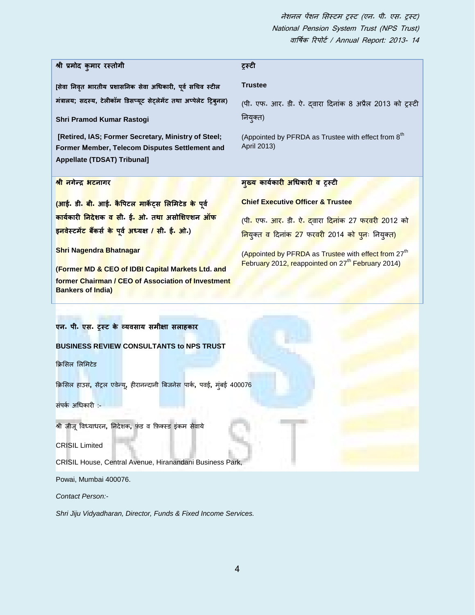| श्री प्रमोद कुमार रस्तोगी                                                                                                                                                                                                                                                                                                                                                                      | ट्रस्टी                                                                                                                           |
|------------------------------------------------------------------------------------------------------------------------------------------------------------------------------------------------------------------------------------------------------------------------------------------------------------------------------------------------------------------------------------------------|-----------------------------------------------------------------------------------------------------------------------------------|
| [सेवा निवृत भारतीय प्रशासनिक सेवा अधिकारी, पूर्व सचिव स्टील                                                                                                                                                                                                                                                                                                                                    | <b>Trustee</b>                                                                                                                    |
| मंत्रालय; सदस्य, टेलीकॉम डिसप्यूट सेट्लेमेंट तथा अप्पेलेट ट्रिब्नल)                                                                                                                                                                                                                                                                                                                            | (पी. एफ. आर. डी. ऐ. दवारा दिनांक 8 अप्रैल 2013 को ट्रस्टी                                                                         |
| Shri Pramod Kumar Rastogi                                                                                                                                                                                                                                                                                                                                                                      | नियुक्त)                                                                                                                          |
| [Retired, IAS; Former Secretary, Ministry of Steel;<br>Former Member, Telecom Disputes Settlement and<br><b>Appellate (TDSAT) Tribunal]</b>                                                                                                                                                                                                                                                    | (Appointed by PFRDA as Trustee with effect from 8 <sup>th</sup><br>April 2013)                                                    |
| श्री नगेन्द्र भटनागर                                                                                                                                                                                                                                                                                                                                                                           | मु <mark>ख्य कार्यकारी अधिकारी व</mark> टूस्टी                                                                                    |
| <mark>(आई.</mark> डी. <mark>बी.</mark> आई. कैपिटल मार्केट्स लिमिटेड के पूर्व                                                                                                                                                                                                                                                                                                                   | <b>Chief Executive Officer &amp; Trustee</b>                                                                                      |
| <mark>कार्यकारी निदेशक व सी. ई. ओ. तथा असोशिएशन ऑफ</mark>                                                                                                                                                                                                                                                                                                                                      | (पी <mark>. एफ. आर. डी. ऐ. दवारा दिनांक</mark> 27 <mark>फरवरी 2012 को</mark>                                                      |
| इनवेस्टमें <mark>ट बैं</mark> कर्स <mark>के पूर्व अध्यक्ष / सी. ई. ओ.</mark> )                                                                                                                                                                                                                                                                                                                 | <mark>निय</mark> ुक्त व दिनांक 27 फरवरी 2014 को पुनः नियुक्त)                                                                     |
| Shri Nagendra Bhatnagar<br>(Former MD & CEO of IDBI Capital Markets Ltd. and<br>former Chairman / CEO of Association of Investment<br><b>Bankers of India)</b>                                                                                                                                                                                                                                 | (Appointed by PFRDA as Trustee with effect from 27 <sup>th</sup><br>February 2012, reappointed on 27 <sup>th</sup> February 2014) |
| एन. पी. एस. ट्रस्ट के व्यवसाय समीक्षा सलाहकार<br><b>BUSINESS REVIEW CONSULTANTS to NPS TRUST</b><br>क्रिसिल लिमिटेड<br>क्रिसिल हाउस, सेंट्रल एवेन्यू, हीरानन्दानी बिजनेस पार्क, पवई, मंबई 400076<br>संपर्क अधिकारी :-<br>श्री जीजू विध्याधरन, निदेशक, फंड व फ़िक्स्ड इंकम सेवाये<br><b>CRISIL Limited</b><br>CRISIL House, Central Avenue, Hiranandani Business Park,<br>Powai, Mumbai 400076. |                                                                                                                                   |
| Contact Person:-                                                                                                                                                                                                                                                                                                                                                                               |                                                                                                                                   |

*Shri Jiju Vidyadharan, Director, Funds & Fixed Income Services.*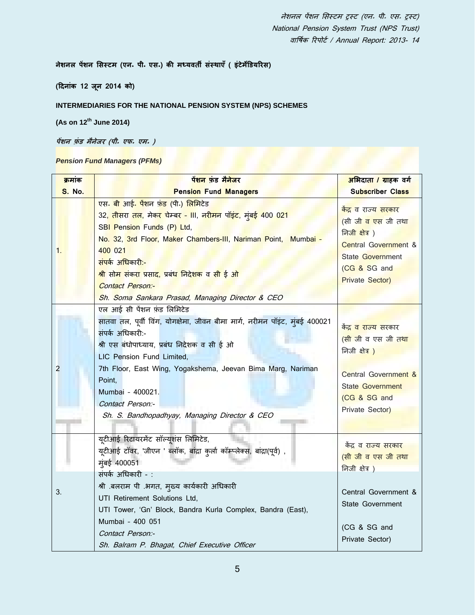**नेशनल पेंशन मसस्टि (एन॰ पी॰ एस॰) की िध्यवती संस्र्ाएँ( इंटेिेडडयररस)**

**(दिनांक 12 जून 2014 को)**

## **INTERMEDIARIES FOR THE NATIONAL PENSION SYSTEM (NPS) SCHEMES**

**(As on 12th June 2014)**

**पेंशन फ़ं ड िैनेजर (पी॰ एफ॰ एि॰ )**

## *Pension Fund Managers (PFMs)*

| क्रमांक       | <u>पेंशन फंड मैनेजर</u>                                                                                                                                                                                                                                                                                                                                                                                               | अभिदाता / ग्राहक वर्ग                                                                                                                                                                   |
|---------------|-----------------------------------------------------------------------------------------------------------------------------------------------------------------------------------------------------------------------------------------------------------------------------------------------------------------------------------------------------------------------------------------------------------------------|-----------------------------------------------------------------------------------------------------------------------------------------------------------------------------------------|
| <b>S. No.</b> | <b>Pension Fund Managers</b>                                                                                                                                                                                                                                                                                                                                                                                          | <b>Subscriber Class</b>                                                                                                                                                                 |
| 1.            | एस. बी आई. पेंशन फंड (पी.) लिमिटेड<br>32, तीसरा तल, मेक <mark>र चेम्बर - III, नरीमन पॉइंट, मुंबई 400 021</mark><br>SBI Pension Funds (P) Ltd,<br>No. 32, 3rd Floor, Maker Chambers-III, Nariman Point, Mumbai -<br>400 021<br><mark>संपर्क अधिकारी:-</mark><br><mark>श्री सोम संकरा प्रसाद, प्रबंध निदेशक</mark> व <mark>सी ई ओ</mark><br><b>Contact Person:-</b><br>Sh. Soma Sankara Prasad, Managing Director & CEO | <mark>केंद्र व</mark> राज्य सरकार<br>(सी जी व एस जी तथा<br><u>निजी क्षेत्र)</u><br><b>Central Government &amp;</b><br><b>State Government</b><br>(CG & SG and<br><b>Private Sector)</b> |
| 2             | एल आई सी पेंशन फंड लिमिटेड<br>सातवा तल, पूर्वी विंग, योगक्षेमा, जीवन बीमा मार्ग, नरीमन पॉइंट, मुंबई 400021<br>संपर्क अधिकारी:-<br>श्री एस बंधोपाध्याय, प्रबंध निदेशक व सी ई ओ<br>LIC Pension Fund Limited,<br>7th Floor, East Wing, Yogakshema, Jeevan Bima Marg, Nariman<br>Point,<br>Mumbai - 400021.<br>Contact Person:-<br>Sh. S. Bandhopadhyay, Managing Director & CEO                                          | <u>केंद्र व राज्य सरकार</u><br>(सी जीव एस जीतथा<br>निजी क्षेत्र)<br>Central Government &<br><b>State Government</b><br>(CG & SG and<br>Private Sector)                                  |
| 3.            | यूटीआई रिटायरमेंट सॉल्यूशंस लिमिटेड,<br>यूटीआई टॉवर, 'जीएन ' ब्लॉक, बांद्रा कुर्ला कॉम्प्लेक्स, बांद्रा(पूर्व) ,<br>म्बई 400051<br>संपर्क अधिकारी -:<br>श्री .बलराम पी .भगत, मुख्य कार्यकारी अधिकारी<br>UTI Retirement Solutions Ltd,<br>UTI Tower, 'Gn' Block, Bandra Kurla Complex, Bandra (East),<br>Mumbai - 400 051<br>Contact Person:-<br>Sh. Balram P. Bhagat, Chief Executive Officer                         | <u>केंद्र व राज्य सरकार</u><br>(सी जी व एस जी तथा<br>निजी क्षेत्र)<br>Central Government &<br>State Government<br>(CG & SG and<br>Private Sector)                                       |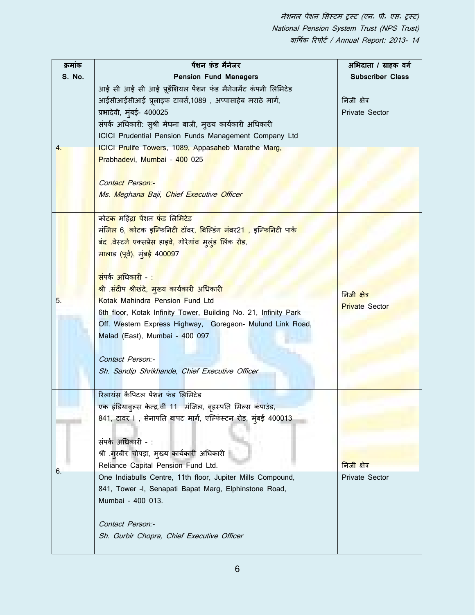| क्रमांक          | पेंशन फ़ंड मैनेजर                                                                                          | अभिदाता / ग्राहक वर्ग   |
|------------------|------------------------------------------------------------------------------------------------------------|-------------------------|
| S. No.           | <b>Pension Fund Managers</b>                                                                               | <b>Subscriber Class</b> |
|                  | आई सी आई सी आई प्रूडेंशियल पेंशन फंड मैनेजमेंट कंपनी लिमिटेड                                               |                         |
|                  | आईसीआईसीआई प्रूलाइफ टावर्स,1089, अप्पासाहेब मराठे मार्ग,                                                   | निजी क्षेत्र            |
|                  | प्रभादेवी, मुंबई- 400025                                                                                   | Private Sector          |
|                  | संपर्क अधिकारी: सुश्री मेघना बाजी, मुख्य कार्यकारी अधिकारी                                                 |                         |
|                  | ICICI Prudential Pension Funds Management Company Ltd                                                      |                         |
| $\overline{4}$ . | ICICI Prulife Towers, 1089, Appasaheb Marathe Marg,                                                        |                         |
|                  | Prabhadevi, Mumbai - 400 025                                                                               |                         |
|                  |                                                                                                            |                         |
|                  | <b>Contact Person:-</b>                                                                                    |                         |
|                  | Ms. Meghana Baji, Chief Executive Officer                                                                  |                         |
|                  |                                                                                                            |                         |
|                  | कोट <mark>क महिंद्रा पें</mark> शन <mark>फंड</mark> लिमिटेड                                                |                         |
|                  | मं <mark>जिल 6, कोट</mark> क इ <mark>ल्फिनिटी टॉवर, बिल्डिंग नंबर21 , इल्फिनिटी</mark> पार् <mark>क</mark> |                         |
|                  | <mark>बंद .वेस्टर्न एक्सप्रेस हाइवे, गोरेगांव मुलुंड लिंक रोड,</mark>                                      |                         |
|                  | <mark>मालाड (पूर्व), मुंबई 40009</mark> 7                                                                  |                         |
|                  |                                                                                                            |                         |
|                  | <mark>संपर्क अधिकारी -:</mark>                                                                             |                         |
|                  | <mark>श्री संदीप श्रीखंदे, मुख्य कार्यकारी अधिकारी</mark>                                                  | निजी क्षेत्र            |
| 5.               | Kotak Mahindra Pension Fund Ltd                                                                            | <b>Private Sector</b>   |
|                  | 6th floor, Kotak Infinity Tower, Building No. 21, Infinity Park                                            |                         |
|                  | Off. Western Express Highway, Goregaon- Mulund Link Road,                                                  |                         |
|                  | Malad (East), Mumbai - 400 097                                                                             |                         |
|                  |                                                                                                            |                         |
|                  | Contact Person:-                                                                                           |                         |
|                  | Sh. Sandip Shrikhande, Chief Executive Officer                                                             |                         |
|                  |                                                                                                            |                         |
|                  | रिलायंस कैपिटल पेंशन फंड लिमिटेड                                                                           |                         |
|                  | एक इंडियाब्ल्स केन्द्र,वीं 11 मंजिल, बृहस्पति मिल्स कंपाउंड,                                               |                         |
|                  | 841, टावर ।, सेनापति बापट मार्ग, एल्फिंस्टन रोड, मुंबई 400013                                              |                         |
|                  |                                                                                                            |                         |
|                  | संपर्क अधिकारी - :                                                                                         |                         |
|                  | श्री .ग् <b>रबीर चोपड़ा, म्</b> ख्य कार्यकारी अधिकारी                                                      |                         |
| 6.               | Reliance Capital Pension Fund Ltd.                                                                         | निजी क्षेत्र            |
|                  | One Indiabulls Centre, 11th floor, Jupiter Mills Compound,                                                 | Private Sector          |
|                  | 841, Tower -I, Senapati Bapat Marg, Elphinstone Road,                                                      |                         |
|                  | Mumbai - 400 013.                                                                                          |                         |
|                  |                                                                                                            |                         |
|                  | Contact Person:-                                                                                           |                         |
|                  | Sh. Gurbir Chopra, Chief Executive Officer                                                                 |                         |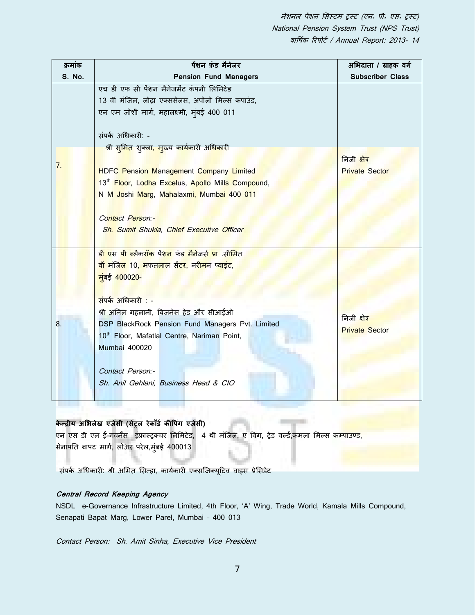| क्रमांक | पेंशन फंड मैनेजर                                                                                                                                                                                                                                                                                                                                                                                                                                                 | अभिदाता / ग्राहक वर्ग                 |
|---------|------------------------------------------------------------------------------------------------------------------------------------------------------------------------------------------------------------------------------------------------------------------------------------------------------------------------------------------------------------------------------------------------------------------------------------------------------------------|---------------------------------------|
| S. No.  | <b>Pension Fund Managers</b>                                                                                                                                                                                                                                                                                                                                                                                                                                     | <b>Subscriber Class</b>               |
| 7.      | एच डी एफ सी पेंशन मैनेजमेंट कंपनी लिमिटेड<br>13 वीं मंजिल, लोढ़ा एक्ससेलस, अपोलो मिल्स कंपाउंड,<br>एन एम जोशी मार्ग, महालक्ष्मी, मुंबई 400 011<br>संपर्क अधिकारी: -<br>श्री सुमित शुक्ला, मुख्य कार्यकारी अ <mark>धिकारी</mark><br><b>HDFC Pension Management Company Limited</b><br>13 <sup>th</sup> Floor, Lodha Excelus, Apollo Mills Compound,<br>N M Joshi Marg, Mahalaxmi, Mumbai 400 011<br>Contact Person:-<br>Sh. Sumit Shukla, Chief Executive Officer | निजी क्षेत्र<br><b>Private Sector</b> |
| 8.      | <mark>डी एस पी ब्लैकरॉक</mark> पेंश <mark>न</mark> फंड मैनेजर्स प्रा .सीमित<br><mark>वीं मंजिल 10, मफतलाल सेंटर, नरीमन प्वाइंट,</mark><br><mark>म</mark> ुंबई 400020-<br>संपर्क अधिकारी : -<br>श्री अनिल गहलानी, बिजनेस हेड और सीआईओ<br>DSP BlackRock Pension Fund Managers Pvt. Limited<br>10 <sup>th</sup> Floor, Mafatlal Centre, Nariman Point,<br>Mumbai 400020<br>Contact Person:-<br>Sh. Anil Gehlani, Business Head & CIO                                | निजी क्षेत्र<br><b>Private Sector</b> |

# **के न्सरीय अमभलेख एजेंसी (सेंट्रल रेकॉडा कीवपंग एजेंसी)**

एन एस डी एल ई-गवर्नेंस इंफ्रास्ट्रक्चर लिमिटेड, 4 थी मंजिल, ए विंग, ट्रेड वर्ल्ड,कमला मिल्स कम्पाउण्ड, सेनापति बापट मार्ग, लोअर परेल,मुंबई 400013

संपर्क अधिकारी: श्री अमित सिन्हा, कार्यकारी एक्सजिक्यूटिव वाइस प्रेसिडेंट

## **Central Record Keeping Agency**

NSDL e-Governance Infrastructure Limited, 4th Floor, 'A' Wing, Trade World, Kamala Mills Compound, Senapati Bapat Marg, Lower Parel, Mumbai – 400 013

Contact Person: Sh. Amit Sinha, Executive Vice President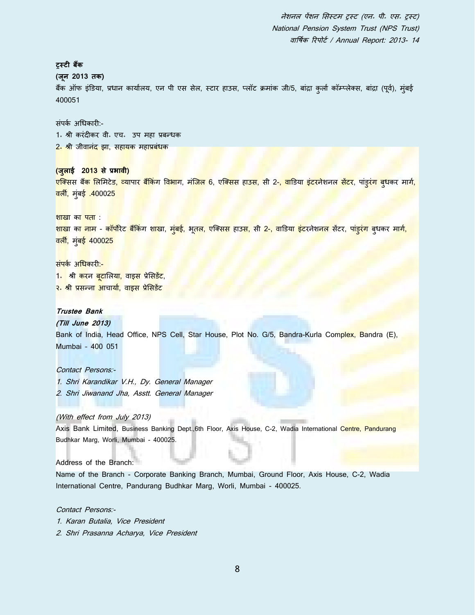**ट्रस्टी िैंक (जून 2013 तक)** बैंक ऑफ इंडिया, प्रधान कार्यालय, एन पी एस सेल, स्टार हाउस, प्लॉट क्रमांक जी/5, बांद्रा कुर्ला कॉम्प्लेक्स, बांद्रा (पूर्व), मुंबई 400051 िंपकि अधिकािी:- 1॰ श्री करंदीकर वी॰ एच॰ उप महा प्रबन्धक <mark>2<sup>.</sup> श्री</mark> जीवानंद झा, सहायक महाप्रबंधक **(जुलाई 2013 से प्रभावी)** <mark>एक्</mark>सिस बैं<mark>क लिमिटेड, व्यापार बैंकिंग विभाग, मंजिल 6</mark>, एक्सिस हाउस, सी 2<mark>-, वा</mark>डिया इंटरनेशनल <mark>सेंटर,</mark> पांड्र<mark>ंग बुध</mark>कर मार्ग, <mark>वर्ली, मुंबई .400025</mark> शाखा का पता : <mark>शाखा का नाम - कॉर्पोरेट बैंकिं</mark>ग श<mark>ाखा, मुंबई, भूतल, एक्सिस हाउस, सी 2-, वाडिया इंट</mark>रनेश<mark>नल सेंटर, पांड्रंग ब</mark>ुधकर म<mark>ार्ग,</mark> वली, मुंबई 400025 संपर्क अधिकारी:-<mark>1<sub>॰</sub> श्री कर</mark>न <mark>बुटालिया, वाइस</mark> प्रेसिडेंट, <mark>२. श्री प्रसन्ना आचार्या, वाइस प्रेसिडेंट</mark> **Trustee Bank (Till June 2013)** Bank of India, Head Office, NPS Cell, Star House, Plot No. G/5, Bandra-Kurla Complex, Bandra (E), Mumbai – 400 051 Contact Persons:- 1. Shri Karandikar V.H., Dy. General Manager 2. Shri Jiwanand Jha, Asstt. General Manager (With effect from July 2013) Axis Bank Limited, Business Banking Dept.,6th Floor, Axis House, C-2, Wadia International Centre, Pandurang Budhkar Marg, Worli, Mumbai - 400025. Address of the Branch:

Name of the Branch - Corporate Banking Branch, Mumbai, Ground Floor, Axis House, C-2, Wadia International Centre, Pandurang Budhkar Marg, Worli, Mumbai - 400025.

Contact Persons:- 1. Karan Butalia, Vice President 2. Shri Prasanna Acharya, Vice President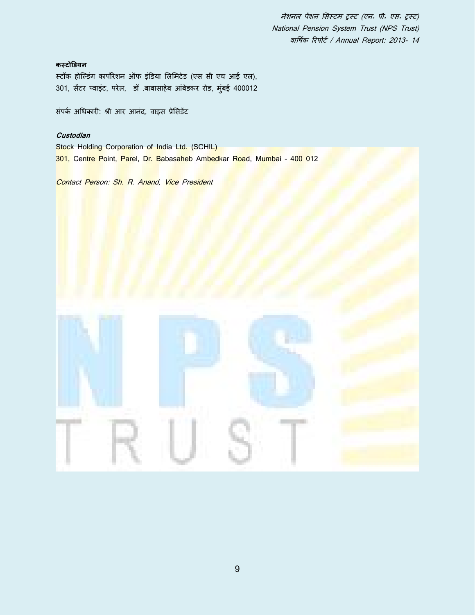# **कस्टोडडयन**

स्टॉक होल्डिंग कार्पोरेशन ऑफ इंडिया लिमिटेड (एस सी एच आई एल), 301, सेंटर प्वाइंट, परेल, डॉ .बाबासाहेब आंबेडकर रोड, मुंबई 400012

संपर्क अधिकारी: श्री आर आनंद, वाइस प्रेसिडेंट

## **Custodian**

Stock Holding Corporation of India Ltd. (SCHIL) 301, Centre Point, Parel, Dr. Babasaheb Ambedkar Road, Mumbai - 400 012

Contact Person: Sh. R. Anand, Vice President

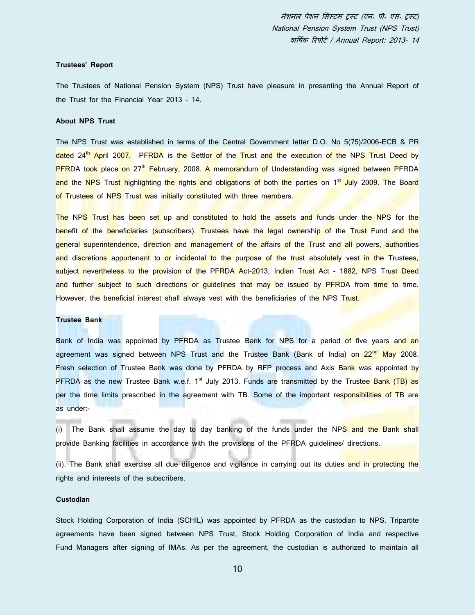#### **Trustees' Report**

The Trustees of National Pension System (NPS) Trust have pleasure in presenting the Annual Report of the Trust for the Financial Year 2013 – 14.

#### **About NPS Trust**

The NPS Trust was established in terms of the Central Government letter D.O. No 5(75)/2006-ECB & PR dated 24<sup>th</sup> April 2007. PFRDA is the Settlor of the Trust and the execution of the NPS Trust Deed by PFRDA took place on 27<sup>th</sup> February, 2008. A memorandum of Understanding was signed between PFRDA and the NPS Trust highlighting the rights and obligations of both the parties on 1<sup>st</sup> July 2009. The Board of Trustees of NPS Trust was initially constituted with three members.

The NPS Trust has been set up and constituted to hold the assets and funds under the NPS for the benefit of the beneficiaries (subscribers). Trustees have the legal ownership of the Trust Fund and the general superintendence, direction and management of the affairs of the Trust and all powers, authorities and discretions appurtenant to or incidental to the purpose of the trust absolutely vest in the Trustees, subject nevertheless to the provision of the PFRDA Act-2013, Indian Trust Act - 1882, NPS Trust Deed and further subject to such directions or quidelines that may be issued by PFRDA from time to time. However, the beneficial interest shall always vest with the beneficiaries of the NPS Trust.

#### **Trustee Bank**

Bank of India was appointed by PFRDA as Trustee Bank for NPS for a period of five years and an agreement was signed between NPS Trust and the Trustee Bank (Bank of India) on 22<sup>nd</sup> May 2008. Fresh selection of Trustee Bank was done by PFRDA by RFP process and Axis Bank was appointed by PFRDA as the new Trustee Bank w.e.f.  $1<sup>st</sup>$  July 2013. Funds are transmitted by the Trustee Bank (TB) as per the time limits prescribed in the agreement with TB. Some of the important responsibilities of TB are as under:-

(i) The Bank shall assume the day to day banking of the funds under the NPS and the Bank shall provide Banking facilities in accordance with the provisions of the PFRDA guidelines/ directions.

(ii). The Bank shall exercise all due diligence and vigilance in carrying out its duties and in protecting the rights and interests of the subscribers.

#### **Custodian**

Stock Holding Corporation of India (SCHIL) was appointed by PFRDA as the custodian to NPS. Tripartite agreements have been signed between NPS Trust, Stock Holding Corporation of India and respective Fund Managers after signing of IMAs. As per the agreement, the custodian is authorized to maintain all

10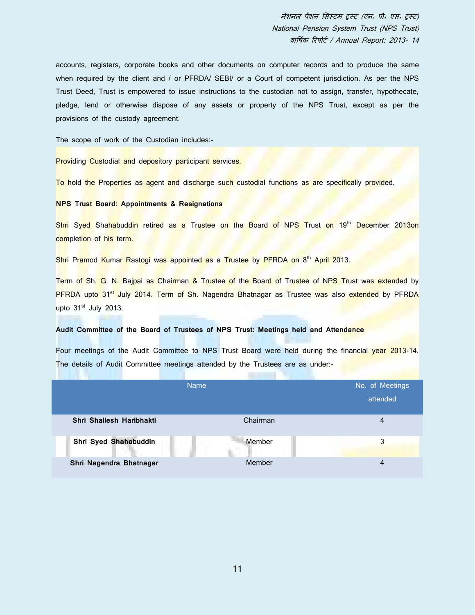accounts, registers, corporate books and other documents on computer records and to produce the same when required by the client and / or PFRDA/ SEBI/ or a Court of competent jurisdiction. As per the NPS Trust Deed, Trust is empowered to issue instructions to the custodian not to assign, transfer, hypothecate, pledge, lend or otherwise dispose of any assets or property of the NPS Trust, except as per the provisions of the custody agreement.

The scope of work of the Custodian includes:-

Providing Custodial and depository participant services.

To hold the Properties as agent and discharge such custodial functions as are specifically provided.

## **NPS Trust Board: Appointments & Resignations**

Shri Syed Shahabuddin retired as a Trustee on the Board of NPS Trust on 19<sup>th</sup> December 2013on completion of his term.

Shri Pramod Kumar Rastogi was appointed as a Trustee by PFRDA on 8<sup>th</sup> April 2013.

Term of Sh. G. N. Bajpai as Chairman & Trustee of the Board of Trustee of NPS Trust was extended by PFRDA upto 31<sup>st</sup> July 2014. Term of Sh. Nagendra Bhatnagar as Trustee was also extended by PFRDA upto 31<sup>st</sup> July 2013.

## **Audit Committee of the Board of Trustees of NPS Trust: Meetings held and Attendance**

Four meetings of the Audit Committee to NPS Trust Board were held during the financial year 2013-14. The details of Audit Committee meetings attended by the Trustees are as under:-

|                          | <b>Name</b> | No. of Meetings |
|--------------------------|-------------|-----------------|
|                          |             | attended        |
| Shri Shailesh Haribhakti | Chairman    | 4               |
| Shri Syed Shahabuddin    | Member      | 3               |
| Shri Nagendra Bhatnagar  | Member      | 4               |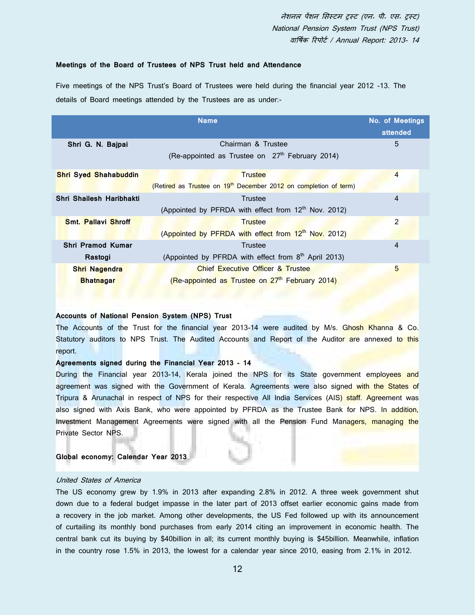## **Meetings of the Board of Trustees of NPS Trust held and Attendance**

Five meetings of the NPS Trust's Board of Trustees were held during the financial year 2012 -13. The details of Board meetings attended by the Trustees are as under:-

|                              | <b>Name</b>                                                                  | <b>No. of Meetings</b><br>attended |
|------------------------------|------------------------------------------------------------------------------|------------------------------------|
| Shri G. N. Bajpai            | Chairman & Trustee                                                           | 5                                  |
|                              | (Re-appointed as Trustee on 27 <sup>th</sup> February 2014)                  |                                    |
| <b>Shri Syed Shahabuddin</b> | <b>Trustee</b>                                                               | $\overline{4}$                     |
|                              | (Retired as Trustee on 19 <sup>th</sup> December 2012 on completion of term) |                                    |
| Shri Shailesh Haribhakti     | Trustee                                                                      | $\overline{4}$                     |
|                              | (Appointed by PFRDA with effect from 12 <sup>th</sup> Nov. 2012)             |                                    |
| <b>Smt. Pallavi Shroff</b>   | <b>Trustee</b>                                                               | 2                                  |
|                              | (Appointed by PFRDA with effect from 12 <sup>th</sup> Nov. 2012)             |                                    |
| Shri Pramod Kumar            | Trustee                                                                      | 4                                  |
| Rastogi                      | (Appointed by PFRDA with effect from 8 <sup>th</sup> April 2013)             |                                    |
| Shri Nagendra                | <b>Chief Executive Officer &amp; Trustee</b>                                 | 5                                  |
| <b>Bhatnagar</b>             | (Re-appointed as Trustee on 27 <sup>th</sup> February 2014)                  |                                    |
|                              |                                                                              |                                    |

## **Accounts of National Pension System (NPS) Trust**

The Accounts of the Trust for the financial year 2013-14 were audited by M/s. Ghosh Khanna & Co. Statutory auditors to NPS Trust. The Audited Accounts and Report of the Auditor are annexed to this report.

## **Agreements signed during the Financial Year 2013 - 14**

During the Financial year 2013-14, Kerala joined the NPS for its State government employees and agreement was signed with the Government of Kerala. Agreements were also signed with the States of Tripura & Arunachal in respect of NPS for their respective All India Services (AIS) staff. Agreement was also signed with Axis Bank, who were appointed by PFRDA as the Trustee Bank for NPS. In addition, Investment Management Agreements were signed with all the Pension Fund Managers, managing the Private Sector NPS.

## **Global economy: Calendar Year 2013**

#### United States of America

The US economy grew by 1.9% in 2013 after expanding 2.8% in 2012. A three week government shut down due to a federal budget impasse in the later part of 2013 offset earlier economic gains made from a recovery in the job market. Among other developments, the US Fed followed up with its announcement of curtailing its monthly bond purchases from early 2014 citing an improvement in economic health. The central bank cut its buying by \$40billion in all; its current monthly buying is \$45billion. Meanwhile, inflation in the country rose 1.5% in 2013, the lowest for a calendar year since 2010, easing from 2.1% in 2012.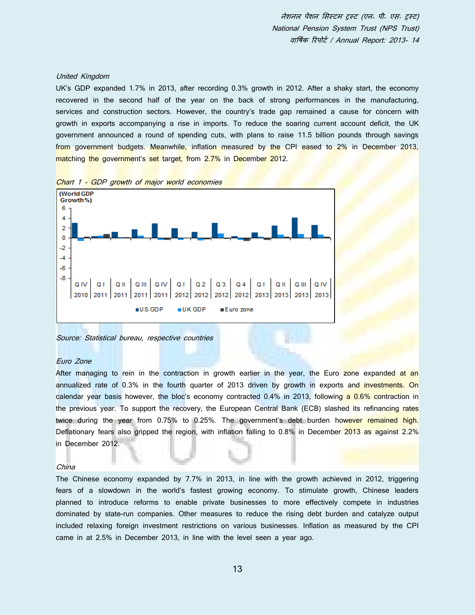#### United Kingdom

UK's GDP expanded 1.7% in 2013, after recording 0.3% growth in 2012. After a shaky start, the economy recovered in the second half of the year on the back of strong performances in the manufacturing, services and construction sectors. However, the country's trade gap remained a cause for concern with growth in exports accompanying a rise in imports. To reduce the soaring current account deficit, the UK government announced a round of spending cuts, with plans to raise 11.5 billion pounds through savings from government budgets. Meanwhile, inflation measured by the CPI eased to 2% in December 2013, matching the government's set target, from 2.7% in December 2012.



#### Source: Statistical bureau, respective countries

## Euro Zone

After managing to rein in the contraction in growth earlier in the year, the Euro zone expanded at an annualized rate of 0.3% in the fourth quarter of 2013 driven by growth in exports and investments. On calendar year basis however, the bloc's economy contracted 0.4% in 2013, following a 0.6% contraction in the previous year. To support the recovery, the European Central Bank (ECB) slashed its refinancing rates twice during the year from 0.75% to 0.25%. The government's debt burden however remained high. Deflationary fears also gripped the region, with inflation falling to 0.8% in December 2013 as against 2.2% in December 2012.

#### China

The Chinese economy expanded by 7.7% in 2013, in line with the growth achieved in 2012, triggering fears of a slowdown in the world's fastest growing economy. To stimulate growth, Chinese leaders planned to introduce reforms to enable private businesses to more effectively compete in industries dominated by state-run companies. Other measures to reduce the rising debt burden and catalyze output included relaxing foreign investment restrictions on various businesses. Inflation as measured by the CPI came in at 2.5% in December 2013, in line with the level seen a year ago.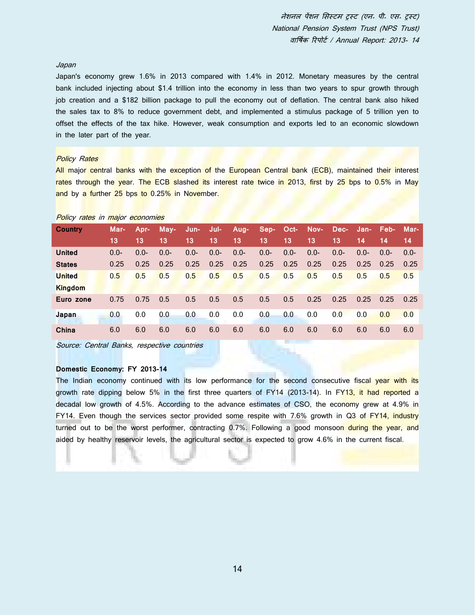## Japan

Japan's economy grew 1.6% in 2013 compared with 1.4% in 2012. Monetary measures by the central bank included injecting about \$1.4 trillion into the economy in less than two years to spur growth through job creation and a \$182 billion package to pull the economy out of deflation. The central bank also hiked the sales tax to 8% to reduce government debt, and implemented a stimulus package of 5 trillion yen to offset the effects of the tax hike. However, weak consumption and exports led to an economic slowdown in the later part of the year.

## **Policy Rates**

Policy rates in major economies

All major central banks with the exception of the European Central bank (ECB), maintained their interest rates through the year. The ECB slashed its interest rate twice in 2013, first by 25 bps to 0.5% in May and by a further 25 bps to 0.25% in November.

| <u>Fully Tales</u> III Inajul Eculiumes |        |         |         |         |         |         |                |         |         |         |         |                |        |
|-----------------------------------------|--------|---------|---------|---------|---------|---------|----------------|---------|---------|---------|---------|----------------|--------|
| <b>Country</b>                          | Mar-   | Apr-    | May-    | Jun-    | Jul-    | Aug-    | Sep- Oct- Nov- |         |         | Dec-    |         | Jan- Feb- Mar- |        |
|                                         | 13     | 13      | 13      | 13      | 13      | 13      | 13             | 13      | 13      | 13      | 14      | 14             | 14     |
| <b>United</b>                           | $0.0-$ | $0.0 -$ | $0.0 -$ | $0.0 -$ | $0.0 -$ | $0.0 -$ | $0.0 -$        | $0.0 -$ | $0.0 -$ | $0.0 -$ | $0.0 -$ | $0.0 -$        | $0.0-$ |
| <b>States</b>                           | 0.25   | 0.25    | 0.25    | 0.25    | 0.25    | 0.25    | 0.25           | 0.25    | 0.25    | 0.25    | 0.25    | 0.25           | 0.25   |
| <b>United</b>                           | 0.5    | 0.5     | 0.5     | 0.5     | 0.5     | 0.5     | 0.5            | 0.5     | 0.5     | 0.5     | 0.5     | 0.5            | 0.5    |
| <b>Kingdom</b>                          |        |         |         |         |         |         |                |         |         |         |         |                |        |
| Euro zone                               | 0.75   | 0.75    | 0.5     | 0.5     | 0.5     | 0.5     | 0.5            | 0.5     | 0.25    | 0.25    | 0.25    | 0.25           | 0.25   |
| Japan                                   | 0.0    | 0.0     | 0.0     | 0.0     | 0.0     | 0.0     | 0.0            | 0.0     | 0.0     | 0.0     | 0.0     | 0.0            | 0.0    |
| China                                   | 6.0    | 6.0     | 6.0     | 6.0     | 6.0     | 6.0     | 6.0            | 6.0     | 6.0     | 6.0     | 6.0     | 6.0            | 6.0    |

Source: Central Banks, respective countries

## **Domestic Economy: FY 2013-14**

The Indian economy continued with its low performance for the second consecutive fiscal year with its growth rate dipping below 5% in the first three quarters of FY14 (2013-14). In FY13, it had reported a decadal low growth of 4.5%. According to the advance estimates of CSO, the economy grew at 4.9% in FY14. Even though the services sector provided some respite with 7.6% growth in Q3 of FY14, industry turned out to be the worst performer, contracting 0.7%. Following a good monsoon during the year, and aided by healthy reservoir levels, the agricultural sector is expected to grow 4.6% in the current fiscal.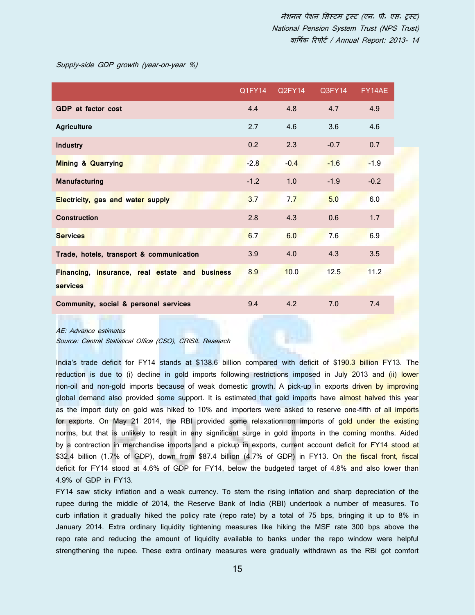Supply-side GDP growth (year-on-year %)

|                                                                   | Q1FY14 | Q2FY14 | Q3FY14 | FY14AE |
|-------------------------------------------------------------------|--------|--------|--------|--------|
| <b>GDP</b> at factor cost                                         | 4.4    | 4.8    | 4.7    | 4.9    |
| <b>Agriculture</b>                                                | 2.7    | 4.6    | 3.6    | 4.6    |
| <b>Industry</b>                                                   | 0.2    | 2.3    | $-0.7$ | 0.7    |
| <b>Mining &amp; Quarrying</b>                                     | $-2.8$ | $-0.4$ | $-1.6$ | $-1.9$ |
| <b>Manufacturing</b>                                              | $-1.2$ | 1.0    | $-1.9$ | $-0.2$ |
| <b>Electricity, gas and water supply</b>                          | 3.7    | 7.7    | 5.0    | 6.0    |
| <b>Construction</b>                                               | 2.8    | 4.3    | 0.6    | 1.7    |
| <b>Services</b>                                                   | 6.7    | 6.0    | 7.6    | 6.9    |
| Trade, hotels, transport & communication                          | 3.9    | 4.0    | 4.3    | 3.5    |
| Financing, insurance, real estate and business<br><b>services</b> | 8.9    | 10.0   | 12.5   | 11.2   |
| Community, social & personal services                             | 9.4    | 4.2    | 7.0    | 7.4    |
|                                                                   |        |        |        |        |

#### AE: Advance estimates

Source: Central Statistical Office (CSO), CRISIL Research

India's trade deficit for FY14 stands at \$138.6 billion compared with deficit of \$190.3 billion FY13. The reduction is due to (i) decline in gold imports following restrictions imposed in July 2013 and (ii) lower non-oil and non-gold imports because of weak domestic growth. A pick-up in exports driven by improving global demand also provided some support. It is estimated that gold imports have almost halved this year as the import duty on gold was hiked to 10% and importers were asked to reserve one-fifth of all imports for exports. On May 21 2014, the RBI provided some relaxation on imports of gold under the existing norms, but that is unlikely to result in any significant surge in gold imports in the coming months. Aided by a contraction in merchandise imports and a pickup in exports, current account deficit for FY14 stood at \$32.4 billion (1.7% of GDP), down from \$87.4 billion (4.7% of GDP) in FY13. On the fiscal front, fiscal deficit for FY14 stood at 4.6% of GDP for FY14, below the budgeted target of 4.8% and also lower than 4.9% of GDP in FY13.

FY14 saw sticky inflation and a weak currency. To stem the rising inflation and sharp depreciation of the rupee during the middle of 2014, the Reserve Bank of India (RBI) undertook a number of measures. To curb inflation it gradually hiked the policy rate (repo rate) by a total of 75 bps, bringing it up to 8% in January 2014. Extra ordinary liquidity tightening measures like hiking the MSF rate 300 bps above the repo rate and reducing the amount of liquidity available to banks under the repo window were helpful strengthening the rupee. These extra ordinary measures were gradually withdrawn as the RBI got comfort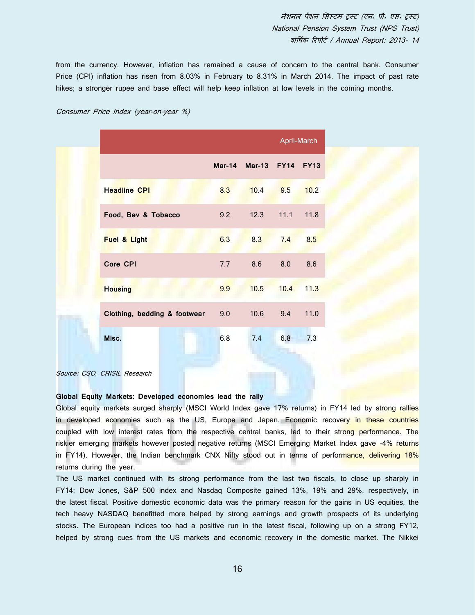from the currency. However, inflation has remained a cause of concern to the central bank. Consumer Price (CPI) inflation has risen from 8.03% in February to 8.31% in March 2014. The impact of past rate hikes; a stronger rupee and base effect will help keep inflation at low levels in the coming months.

|                              |     |               |             | April-March |
|------------------------------|-----|---------------|-------------|-------------|
|                              |     | Mar-14 Mar-13 | <b>FY14</b> | <b>FY13</b> |
| <b>Headline CPI</b>          | 8.3 | 10.4          | 9.5         | 10.2        |
| Food, Bev & Tobacco          | 9.2 | 12.3          | 11.1        | 11.8        |
| Fuel & Light                 | 6.3 | 8.3           | 7.4         | 8.5         |
| Core CPI                     | 7.7 | 8.6           | 8.0         | 8.6         |
| <b>Housing</b>               | 9.9 | 10.5          | 10.4        | 11.3        |
| Clothing, bedding & footwear | 9.0 | 10.6          | 9.4         | 11.0        |
| Misc.                        | 6.8 | 7.4           | 6.8         | 7.3         |

## Consumer Price Index (year-on-year %)

Source: CSO, CRISIL Research

## **Global Equity Markets: Developed economies lead the rally**

Global equity markets surged sharply (MSCI World Index gave 17% returns) in FY14 led by strong rallies in developed economies such as the US, Europe and Japan. Economic recovery in these countries coupled with low interest rates from the respective central banks, led to their strong performance. The riskier emerging markets however posted negative returns (MSCI Emerging Market Index gave -4% returns in FY14). However, the Indian benchmark CNX Nifty stood out in terms of performance, delivering 18% returns during the year.

The US market continued with its strong performance from the last two fiscals, to close up sharply in FY14; Dow Jones, S&P 500 index and Nasdaq Composite gained 13%, 19% and 29%, respectively, in the latest fiscal. Positive domestic economic data was the primary reason for the gains in US equities, the tech heavy NASDAQ benefitted more helped by strong earnings and growth prospects of its underlying stocks. The European indices too had a positive run in the latest fiscal, following up on a strong FY12, helped by strong cues from the US markets and economic recovery in the domestic market. The Nikkei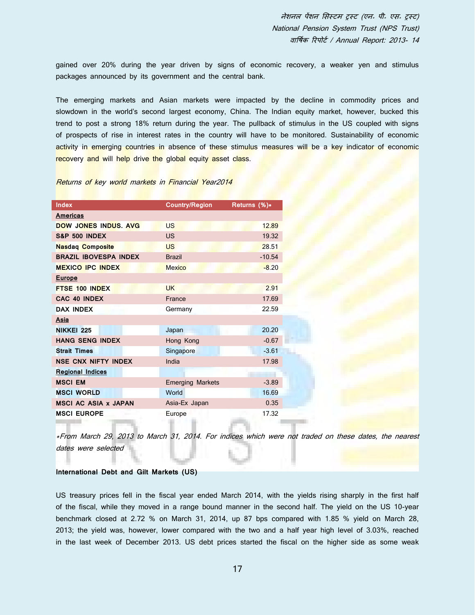gained over 20% during the year driven by signs of economic recovery, a weaker yen and stimulus packages announced by its government and the central bank.

The emerging markets and Asian markets were impacted by the decline in commodity prices and slowdown in the world's second largest economy, China. The Indian equity market, however, bucked this trend to post a strong 18% return during the year. The pullback of stimulus in the US coupled with signs of prospects of rise in interest rates in the country will have to be monitored. Sustainability of economic activity in emerging countries in absence of these stimulus measures will be a key indicator of economic recovery and will help drive the global equity asset class.

### Returns of key world markets in Financial Year2014

| Index                        | <b>Country/Region</b>   | Returns (%)* |
|------------------------------|-------------------------|--------------|
| <b>Americas</b>              |                         |              |
| <b>DOW JONES INDUS, AVG</b>  | <b>US</b>               | 12.89        |
| <b>S&amp;P 500 INDEX</b>     | <b>US</b>               | 19.32        |
| <b>Nasdaq Composite</b>      | <b>US</b>               | 28.51        |
| <b>BRAZIL IBOVESPA INDEX</b> | <b>Brazil</b>           | $-10.54$     |
| <b>MEXICO IPC INDEX</b>      | <b>Mexico</b>           | $-8.20$      |
| <b>Europe</b>                |                         |              |
| FTSE 100 INDEX               | <b>UK</b>               | 2.91         |
| CAC 40 INDEX                 | France                  | 17.69        |
| <b>DAX INDEX</b>             | Germany                 | 22.59        |
| Asia                         |                         |              |
| <b>NIKKEI 225</b>            | Japan                   | 20.20        |
| <b>HANG SENG INDEX</b>       | Hong Kong               | $-0.67$      |
| <b>Strait Times</b>          | Singapore               | $-3.61$      |
| <b>NSE CNX NIFTY INDEX</b>   | India                   | 17.98        |
| <b>Regional Indices</b>      |                         |              |
| <b>MSCI EM</b>               | <b>Emerging Markets</b> | $-3.89$      |
| <b>MSCI WORLD</b>            | World                   | 16.69        |
| <b>MSCI AC ASIA x JAPAN</b>  | Asia-Ex Japan           | 0.35         |
| <b>MSCI EUROPE</b>           | Europe                  | 17.32        |
|                              |                         |              |

\*From March 29, 2013 to March 31, 2014. For indices which were not traded on these dates, the nearest dates were selected

## **International Debt and Gilt Markets (US)**

US treasury prices fell in the fiscal year ended March 2014, with the yields rising sharply in the first half of the fiscal, while they moved in a range bound manner in the second half. The yield on the US 10-year benchmark closed at 2.72 % on March 31, 2014, up 87 bps compared with 1.85 % yield on March 28, 2013; the yield was, however, lower compared with the two and a half year high level of 3.03%, reached in the last week of December 2013. US debt prices started the fiscal on the higher side as some weak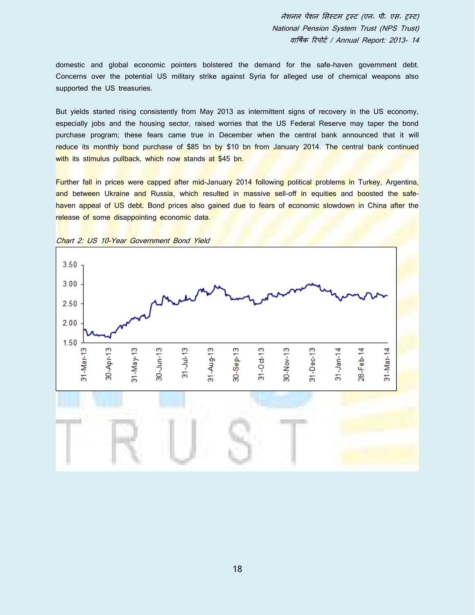domestic and global economic pointers bolstered the demand for the safe-haven government debt. Concerns over the potential US military strike against Syria for alleged use of chemical weapons also supported the US treasuries.

But yields started rising consistently from May 2013 as intermittent signs of recovery in the US economy, especially jobs and the housing sector, raised worries that the US Federal Reserve may taper the bond purchase program; these fears came true in December when the central bank announced that it will reduce its monthly bond purchase of \$85 bn by \$10 bn from January 2014. The central bank continued with its stimulus pullback, which now stands at \$45 bn.

Further fall in prices were capped after mid-January 2014 following political problems in Turkey, Argentina, and between Ukraine and Russia, which resulted in massive sell-off in equities and boosted the safehaven appeal of US debt. Bond prices also gained due to fears of economic slowdown in China after the release of some disappointing economic data.



Chart 2: US 10-Year Government Bond Yield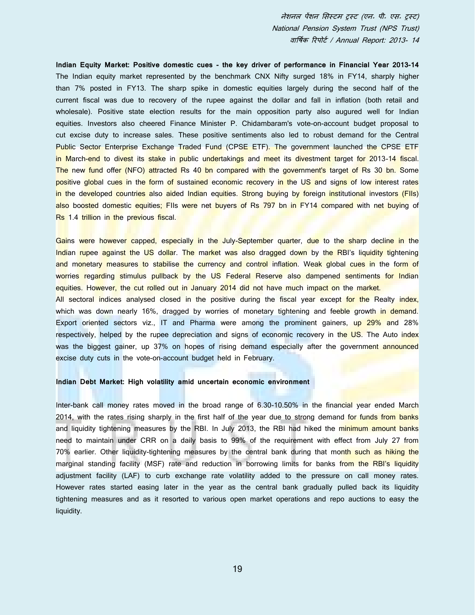**Indian Equity Market: Positive domestic cues - the key driver of performance in Financial Year 2013-14** The Indian equity market represented by the benchmark CNX Nifty surged 18% in FY14, sharply higher than 7% posted in FY13. The sharp spike in domestic equities largely during the second half of the current fiscal was due to recovery of the rupee against the dollar and fall in inflation (both retail and wholesale). Positive state election results for the main opposition party also augured well for Indian equities. Investors also cheered Finance Minister P. Chidambaram's vote-on-account budget proposal to cut excise duty to increase sales. These positive sentiments also led to robust demand for the Central Public Sector Enterprise Exchange Traded Fund (CPSE ETF). The government launched the CPSE ETF in March-end to divest its stake in public undertakings and meet its divestment target for 2013-14 fiscal. The new fund offer (NFO) attracted Rs 40 bn compared with the government's target of Rs 30 bn. Some positive global cues in the form of sustained economic recovery in the US and signs of low interest rates in the developed countries also aided Indian equities. Strong buying by foreign institutional investors (FIIs) also boosted domestic equities; FIIs were net buyers of Rs 797 bn in FY14 compared with net buying of Rs 1.4 trillion in the previous fiscal.

Gains were however capped, especially in the July-September quarter, due to the sharp decline in the Indian rupee against the US dollar. The market was also dragged down by the RBI's liquidity tightening and monetary measures to stabilise the currency and control inflation. Weak global cues in the form of worries regarding stimulus pullback by the US Federal Reserve also dampened sentiments for Indian equities. However, the cut rolled out in January 2014 did not have much impact on the market.

All sectoral indices analysed closed in the positive during the fiscal year except for the Realty index, which was down nearly 16%, dragged by worries of monetary tightening and feeble growth in demand. Export oriented sectors viz., IT and Pharma were among the prominent gainers, up 29% and 28% respectively, helped by the rupee depreciation and signs of economic recovery in the US. The Auto index was the biggest gainer, up 37% on hopes of rising demand especially after the government announced excise duty cuts in the vote-on-account budget held in February.

## **Indian Debt Market: High volatility amid uncertain economic environment**

Inter-bank call money rates moved in the broad range of 6.30-10.50% in the financial year ended March 2014, with the rates rising sharply in the first half of the year due to strong demand for funds from banks and liquidity tightening measures by the RBI. In July 2013, the RBI had hiked the minimum amount banks need to maintain under CRR on a daily basis to 99% of the requirement with effect from July 27 from 70% earlier. Other liquidity-tightening measures by the central bank during that month such as hiking the marginal standing facility (MSF) rate and reduction in borrowing limits for banks from the RBI's liquidity adjustment facility (LAF) to curb exchange rate volatility added to the pressure on call money rates. However rates started easing later in the year as the central bank gradually pulled back its liquidity tightening measures and as it resorted to various open market operations and repo auctions to easy the liquidity.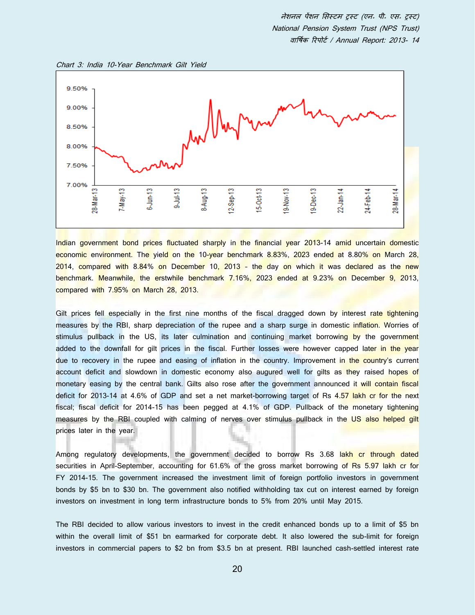



Indian government bond prices fluctuated sharply in the financial year 2013-14 amid uncertain domestic economic environment. The yield on the 10-year benchmark 8.83%, 2023 ended at 8.80% on March 28, 2014, compared with 8.84% on December 10, 2013 - the day on which it was declared as the new benchmark. Meanwhile, the erstwhile benchmark 7.16%, 2023 ended at 9.23% on December 9, 2013, compared with 7.95% on March 28, 2013.

Gilt prices fell especially in the first nine months of the fiscal dragged down by interest rate tightening measures by the RBI, sharp depreciation of the rupee and a sharp surge in domestic inflation. Worries of stimulus pullback in the US, its later culmination and continuing market borrowing by the government added to the downfall for gilt prices in the fiscal. Further losses were however capped later in the year due to recovery in the rupee and easing of inflation in the country. Improvement in the country's current account deficit and slowdown in domestic economy also augured well for gilts as they raised hopes of monetary easing by the central bank. Gilts also rose after the government announced it will contain fiscal deficit for 2013-14 at 4.6% of GDP and set a net market-borrowing target of Rs 4.57 lakh cr for the next fiscal; fiscal deficit for 2014-15 has been pegged at 4.1% of GDP. Pullback of the monetary tightening measures by the RBI coupled with calming of nerves over stimulus pullback in the US also helped gilt prices later in the year.

Among regulatory developments, the government decided to borrow Rs 3.68 lakh cr through dated securities in April-September, accounting for 61.6% of the gross market borrowing of Rs 5.97 lakh cr for FY 2014-15. The government increased the investment limit of foreign portfolio investors in government bonds by \$5 bn to \$30 bn. The government also notified withholding tax cut on interest earned by foreign investors on investment in long term infrastructure bonds to 5% from 20% until May 2015.

The RBI decided to allow various investors to invest in the credit enhanced bonds up to a limit of \$5 bn within the overall limit of \$51 bn earmarked for corporate debt. It also lowered the sub-limit for foreign investors in commercial papers to \$2 bn from \$3.5 bn at present. RBI launched cash-settled interest rate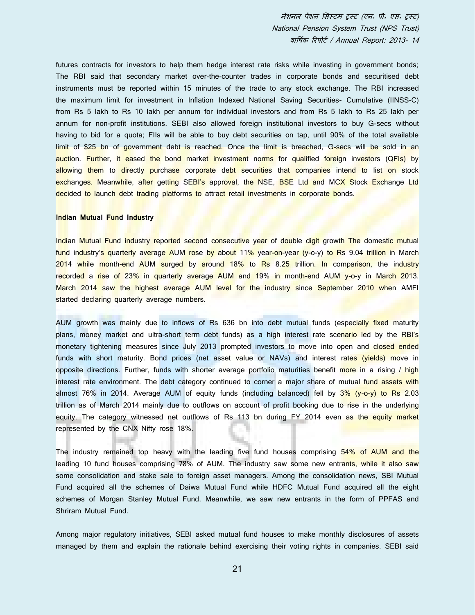futures contracts for investors to help them hedge interest rate risks while investing in government bonds; The RBI said that secondary market over-the-counter trades in corporate bonds and securitised debt instruments must be reported within 15 minutes of the trade to any stock exchange. The RBI increased the maximum limit for investment in Inflation Indexed National Saving Securities- Cumulative (IINSS-C) from Rs 5 lakh to Rs 10 lakh per annum for individual investors and from Rs 5 lakh to Rs 25 lakh per annum for non-profit institutions. SEBI also allowed foreign institutional investors to buy G-secs without having to bid for a quota; FIIs will be able to buy debt securities on tap, until 90% of the total available limit of \$25 bn of government debt is reached. Once the limit is breached, G-secs will be sold in an auction. Further, it eased the bond market investment norms for qualified foreign investors (QFIs) by allowing them to directly purchase corporate debt securities that companies intend to list on stock exchanges. Meanwhile, after getting SEBI's approval, the NSE, BSE Ltd and MCX Stock Exchange Ltd decided to launch debt trading platforms to attract retail investments in corporate bonds.

## **Indian Mutual Fund Industry**

Indian Mutual Fund industry reported second consecutive year of double digit growth The domestic mutual fund industry's quarterly average AUM rose by about 11% year-on-year (y-o-y) to Rs 9.04 trillion in March 2014 while month-end AUM surged by around 18% to Rs 8.25 trillion. In comparison, the industry recorded a rise of 23% in quarterly average AUM and 19% in month-end AUM y-o-y in March 2013. March 2014 saw the highest average AUM level for the industry since September 2010 when AMFI started declaring quarterly average numbers.

AUM growth was mainly due to inflows of Rs 636 bn into debt mutual funds (especially fixed maturity plans, money market and ultra-short term debt funds) as a high interest rate scenario led by the RBI's monetary tightening measures since July 2013 prompted investors to move into open and closed ended funds with short maturity. Bond prices (net asset value or NAVs) and interest rates (yields) move in opposite directions. Further, funds with shorter average portfolio maturities benefit more in a rising / high interest rate environment. The debt category continued to corner a major share of mutual fund assets with almost 76% in 2014. Average AUM of equity funds (including balanced) fell by 3% (y-o-y) to Rs 2.03 trillion as of March 2014 mainly due to outflows on account of profit booking due to rise in the underlying equity. The category witnessed net outflows of Rs 113 bn during FY 2014 even as the equity market represented by the CNX Nifty rose 18%.

The industry remained top heavy with the leading five fund houses comprising 54% of AUM and the leading 10 fund houses comprising 78% of AUM. The industry saw some new entrants, while it also saw some consolidation and stake sale to foreign asset managers. Among the consolidation news, SBI Mutual Fund acquired all the schemes of Daiwa Mutual Fund while HDFC Mutual Fund acquired all the eight schemes of Morgan Stanley Mutual Fund. Meanwhile, we saw new entrants in the form of PPFAS and Shriram Mutual Fund.

Among major regulatory initiatives, SEBI asked mutual fund houses to make monthly disclosures of assets managed by them and explain the rationale behind exercising their voting rights in companies. SEBI said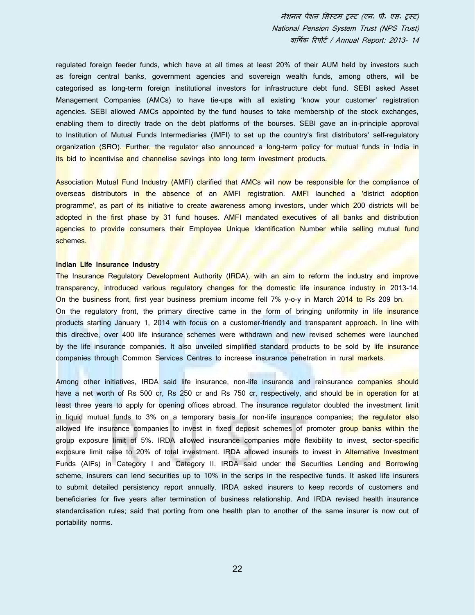regulated foreign feeder funds, which have at all times at least 20% of their AUM held by investors such as foreign central banks, government agencies and sovereign wealth funds, among others, will be categorised as long-term foreign institutional investors for infrastructure debt fund. SEBI asked Asset Management Companies (AMCs) to have tie-ups with all existing 'know your customer' registration agencies. SEBI allowed AMCs appointed by the fund houses to take membership of the stock exchanges, enabling them to directly trade on the debt platforms of the bourses. SEBI gave an in-principle approval to Institution of Mutual Funds Intermediaries (IMFI) to set up the country's first distributors' self-regulatory organization (SRO). Further, the regulator also announced a long-term policy for mutual funds in India in its bid to incentivise and channelise savings into long term investment products.

Association Mutual Fund Industry (AMFI) clarified that AMCs will now be responsible for the compliance of overseas distributors in the absence of an AMFI registration. AMFI launched a district adoption programme', as part of its initiative to create awareness among investors, under which 200 districts will be adopted in the first phase by 31 fund houses. AMFI mandated executives of all banks and distribution agencies to provide consumers their Employee Unique Identification Number while selling mutual fund schemes.

#### **Indian Life Insurance Industry**

The Insurance Regulatory Development Authority (IRDA), with an aim to reform the industry and improve transparency, introduced various regulatory changes for the domestic life insurance industry in 2013-14. On the business front, first year business premium income fell 7% y-o-y in March 2014 to Rs 209 bn. On the regulatory front, the primary directive came in the form of bringing uniformity in life insurance products starting January 1, 2014 with focus on a customer-friendly and transparent approach. In line with this directive, over 400 life insurance schemes were withdrawn and new revised schemes were launched by the life insurance companies. It also unveiled simplified standard products to be sold by life insurance companies through Common Services Centres to increase insurance penetration in rural markets.

Among other initiatives, IRDA said life insurance, non-life insurance and reinsurance companies should have a net worth of Rs 500 cr, Rs 250 cr and Rs 750 cr, respectively, and should be in operation for at least three years to apply for opening offices abroad. The insurance regulator doubled the investment limit in liquid mutual funds to 3% on a temporary basis for non-life insurance companies; the regulator also allowed life insurance companies to invest in fixed deposit schemes of promoter group banks within the group exposure limit of 5%. IRDA allowed insurance companies more flexibility to invest, sector-specific exposure limit raise to 20% of total investment. IRDA allowed insurers to invest in Alternative Investment Funds (AIFs) in Category I and Category II. IRDA said under the Securities Lending and Borrowing scheme, insurers can lend securities up to 10% in the scrips in the respective funds. It asked life insurers to submit detailed persistency report annually. IRDA asked insurers to keep records of customers and beneficiaries for five years after termination of business relationship. And IRDA revised health insurance standardisation rules; said that porting from one health plan to another of the same insurer is now out of portability norms.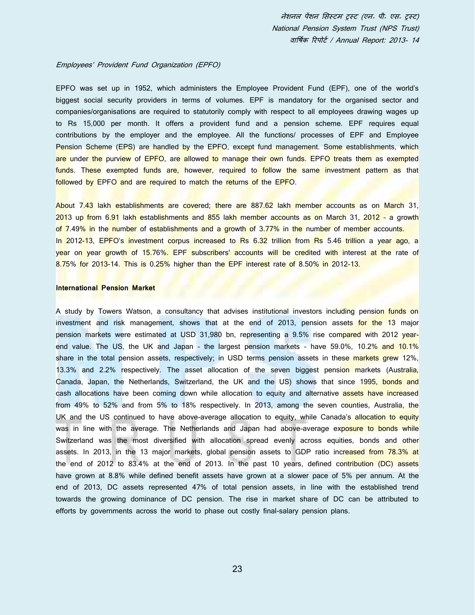#### Employees' Provident Fund Organization (EPFO)

EPFO was set up in 1952, which administers the Employee Provident Fund (EPF), one of the world's biggest social security providers in terms of volumes. EPF is mandatory for the organised sector and companies/organisations are required to statutorily comply with respect to all employees drawing wages up to Rs 15,000 per month. It offers a provident fund and a pension scheme. EPF requires equal contributions by the employer and the employee. All the functions/ processes of EPF and Employee Pension Scheme (EPS) are handled by the EPFO, except fund management. Some establishments, which are under the purview of EPFO, are allowed to manage their own funds. EPFO treats them as exempted funds. These exempted funds are, however, required to follow the same investment pattern as that followed by EPFO and are required to match the returns of the EPFO.

About 7.43 lakh establishments are covered; there are 887.62 lakh member accounts as on March 31, 2013 up from 6.91 lakh establishments and 855 lakh member accounts as on March 31, 2012 – a growth of 7.49% in the number of establishments and a growth of 3.77% in the number of member accounts. In 2012-13, EPFO's investment corpus increased to Rs 6.32 trillion from Rs 5.46 trillion a year ago, a year on year growth of 15.76%. EPF subscribers' accounts will be credited with interest at the rate of 8.75% for 2013-14. This is 0.25% higher than the EPF interest rate of 8.50% in 2012-13.

#### **International Pension Market**

A study by Towers Watson, a consultancy that advises institutional investors including pension funds on investment and risk management, shows that at the end of 2013, pension assets for the 13 major pension markets were estimated at USD 31,980 bn, representing a 9.5% rise compared with 2012 yearend value. The US, the UK and Japan – the largest pension markets – have 59.0%, 10.2% and 10.1% share in the total pension assets, respectively; in USD terms pension assets in these markets grew 12%, 13.3% and 2.2% respectively. The asset allocation of the seven biggest pension markets (Australia, Canada, Japan, the Netherlands, Switzerland, the UK and the US) shows that since 1995, bonds and cash allocations have been coming down while allocation to equity and alternative assets have increased from 49% to 52% and from 5% to 18% respectively. In 2013, among the seven counties, Australia, the UK and the US continued to have above-average allocation to equity, while Canada's allocation to equity was in line with the average. The Netherlands and Japan had above-average exposure to bonds while Switzerland was the most diversified with allocation spread evenly across equities, bonds and other assets. In 2013, in the 13 major markets, global pension assets to GDP ratio increased from 78.3% at the end of 2012 to 83.4% at the end of 2013. In the past 10 years, defined contribution (DC) assets have grown at 8.8% while defined benefit assets have grown at a slower pace of 5% per annum. At the end of 2013, DC assets represented 47% of total pension assets, in line with the established trend towards the growing dominance of DC pension. The rise in market share of DC can be attributed to efforts by governments across the world to phase out costly final-salary pension plans.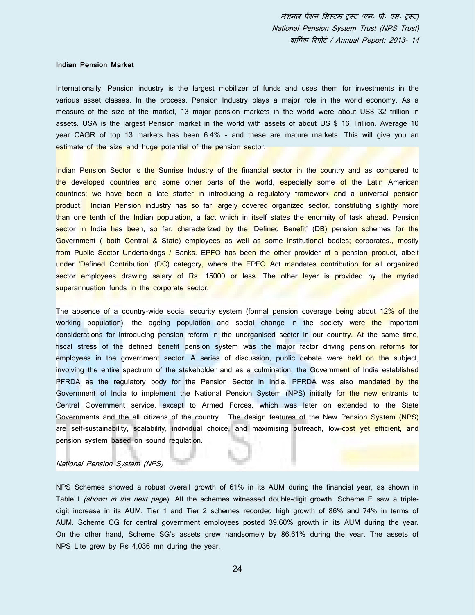#### **Indian Pension Market**

Internationally, Pension industry is the largest mobilizer of funds and uses them for investments in the various asset classes. In the process, Pension Industry plays a major role in the world economy. As a measure of the size of the market, 13 major pension markets in the world were about US\$ 32 trillion in assets. USA is the largest Pension market in the world with assets of about US \$ 16 Trillion. Average 10 year CAGR of top 13 markets has been 6.4% - and these are mature markets. This will give you an estimate of the size and huge potential of the pension sector.

Indian Pension Sector is the Sunrise Industry of the financial sector in the country and as compared to the developed countries and some other parts of the world, especially some of the Latin American countries; we have been a late starter in introducing a regulatory framework and a universal pension product. Indian Pension industry has so far largely covered organized sector, constituting slightly more than one tenth of the Indian population, a fact which in itself states the enormity of task ahead. Pension sector in India has been, so far, characterized by the 'Defined Benefit' (DB) pension schemes for the Government ( both Central & State) employees as well as some institutional bodies; corporates., mostly from Public Sector Undertakings / Banks. EPFO has been the other provider of a pension product, albeit under 'Defined Contribution' (DC) category, where the EPFO Act mandates contribution for all organized sector employees drawing salary of Rs. 15000 or less. The other layer is provided by the myriad superannuation funds in the corporate sector.

The absence of a country-wide social security system (formal pension coverage being about 12% of the working population), the ageing population and social change in the society were the important considerations for introducing pension reform in the unorganised sector in our country. At the same time, fiscal stress of the defined benefit pension system was the major factor driving pension reforms for employees in the government sector. A series of discussion, public debate were held on the subject, involving the entire spectrum of the stakeholder and as a culmination, the Government of India established PFRDA as the regulatory body for the Pension Sector in India. PFRDA was also mandated by the Government of India to implement the National Pension System (NPS) initially for the new entrants to Central Government service, except to Armed Forces, which was later on extended to the State Governments and the all citizens of the country. The design features of the New Pension System (NPS) are self-sustainability, scalability, individual choice, and maximising outreach, low-cost yet efficient, and pension system based on sound regulation.

## National Pension System (NPS)

NPS Schemes showed a robust overall growth of 61% in its AUM during the financial year, as shown in Table I *(shown in the next pag*e). All the schemes witnessed double-digit growth. Scheme E saw a tripledigit increase in its AUM. Tier 1 and Tier 2 schemes recorded high growth of 86% and 74% in terms of AUM. Scheme CG for central government employees posted 39.60% growth in its AUM during the year. On the other hand, Scheme SG's assets grew handsomely by 86.61% during the year. The assets of NPS Lite grew by Rs 4,036 mn during the year.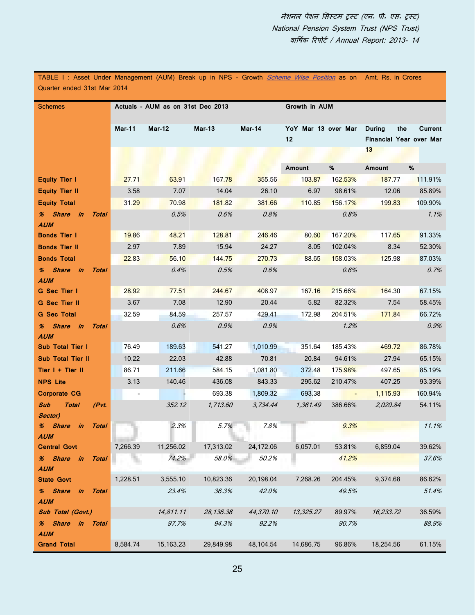TABLE I : Asset Under Management (AUM) Break up in NPS - Growth *<u>Scheme Wise Position</u>* as on Amt. Rs. in Crores Quarter ended 31st Mar 2014

| <b>Schemes</b>                                         |          | Actuals - AUM as on 31st Dec 2013 |               |           | Growth in AUM                  |                          |                                                 |         |
|--------------------------------------------------------|----------|-----------------------------------|---------------|-----------|--------------------------------|--------------------------|-------------------------------------------------|---------|
|                                                        | Mar-11   | <b>Mar-12</b>                     | <b>Mar-13</b> | Mar-14    | YoY Mar 13 over Mar<br>$12 \,$ |                          | <b>During</b><br>the<br>Financial Year over Mar | Current |
|                                                        |          |                                   |               |           |                                |                          | 13                                              |         |
|                                                        |          |                                   |               |           | Amount                         | %                        | Amount                                          | %       |
| <b>Equity Tier I</b>                                   | 27.71    | 63.91                             | 167.78        | 355.56    | 103.87                         | <b>162.53%</b>           | 187.77                                          | 111.91% |
| <b>Equity Tier II</b>                                  | 3.58     | 7.07                              | 14.04         | 26.10     | 6.97                           | 98.61%                   | 12.06                                           | 85.89%  |
| <b>Equity Total</b>                                    | 31.29    | 70.98                             | 181.82        | 381.66    | 110.85                         | 156.17%                  | 199.83                                          | 109.90% |
| % Share in<br>Total<br><b>AUM</b>                      |          | 0.5%                              | 0.6%          | 0.8%      |                                | 0.8%                     |                                                 | 1.1%    |
| <b>Bonds Tier I</b>                                    | 19.86    | 48.21                             | 128.81        | 246.46    | 80.60                          | 167.20%                  | 117.65                                          | 91.33%  |
| <b>Bonds Tier II</b>                                   | 2.97     | 7.89                              | 15.94         | 24.27     | 8.05                           | 102.04%                  | 8.34                                            | 52.30%  |
| <b>Bonds Total</b>                                     | 22.83    | 56.10                             | 144.75        | 270.73    | 88.65                          | 158.03%                  | 125.98                                          | 87.03%  |
| % Share in<br>Total<br><b>AUM</b>                      |          | 0.4%                              | 0.5%          | 0.6%      |                                | 0.6%                     |                                                 | 0.7%    |
| G Sec Tier I                                           | 28.92    | 77.51                             | 244.67        | 408.97    | 167.16                         | 215.66%                  | 164.30                                          | 67.15%  |
| <b>G</b> Sec Tier II                                   | 3.67     | 7.08                              | 12.90         | 20.44     | 5.82                           | 82.32%                   | 7.54                                            | 58.45%  |
| <b>G</b> Sec Total                                     | 32.59    | 84.59                             | 257.57        | 429.41    | 172.98                         | 204.51%                  | 171.84                                          | 66.72%  |
| % Share in Total<br><b>AUM</b>                         |          | 0.6%                              | 0.9%          | 0.9%      |                                | 1.2%                     |                                                 | 0.9%    |
| <b>Sub Total Tier I</b>                                | 76.49    | 189.63                            | 541.27        | 1,010.99  | 351.64                         | 185.43%                  | 469.72                                          | 86.78%  |
| <b>Sub Total Tier II</b>                               | 10.22    | 22.03                             | 42.88         | 70.81     | 20.84                          | 94.61%                   | 27.94                                           | 65.15%  |
| Tier I + Tier II                                       | 86.71    | 211.66                            | 584.15        | 1,081.80  | 372.48                         | 175.98%                  | 497.65                                          | 85.19%  |
| <b>NPS Lite</b>                                        | 3.13     | 140.46                            | 436.08        | 843.33    | 295.62                         | 210.47%                  | 407.25                                          | 93.39%  |
| <b>Corporate CG</b>                                    |          |                                   | 693.38        | 1,809.32  | 693.38                         | $\overline{\phantom{a}}$ | 1,115.93                                        | 160.94% |
| Sub<br><b>Total</b><br>(Pvt.<br>Sector)                |          | 352.12                            | 1,713.60      | 3,734.44  | 1,361.49                       | 386.66%                  | 2.020.84                                        | 54.11%  |
| % Share in<br>Total<br><b>AUM</b>                      |          | 2.3%                              | 5.7%          | 7.8%      |                                | 9.3%                     |                                                 | 11.1%   |
| <b>Central Govt</b>                                    | 7,266.39 | 11,256.02                         | 17,313.02     | 24,172.06 | 6,057.01                       | 53.81%                   | 6,859.04                                        | 39.62%  |
| % Share in<br><b>Total</b><br><b>AUM</b>               |          | 74.2%                             | 58.0%         | 50.2%     |                                | 41.2%                    |                                                 | 37.6%   |
| <b>State Govt</b>                                      | 1,228.51 | 3,555.10                          | 10,823.36     | 20,198.04 | 7,268.26                       | 204.45%                  | 9,374.68                                        | 86.62%  |
| % Share<br>$\mathbf{in}$<br><b>Total</b><br><b>AUM</b> |          | 23.4%                             | 36.3%         | 42.0%     |                                | 49.5%                    |                                                 | 51.4%   |
| Sub Total (Govt.)                                      |          | 14,811.11                         | 28,136.38     | 44,370.10 | 13,325.27                      | 89.97%                   | 16,233.72                                       | 36.59%  |
| % Share in<br><b>Total</b><br><b>AUM</b>               |          | 97.7%                             | 94.3%         | 92.2%     |                                | 90.7%                    |                                                 | 88.9%   |
| <b>Grand Total</b>                                     | 8,584.74 | 15,163.23                         | 29,849.98     | 48,104.54 | 14,686.75                      | 96.86%                   | 18,254.56                                       | 61.15%  |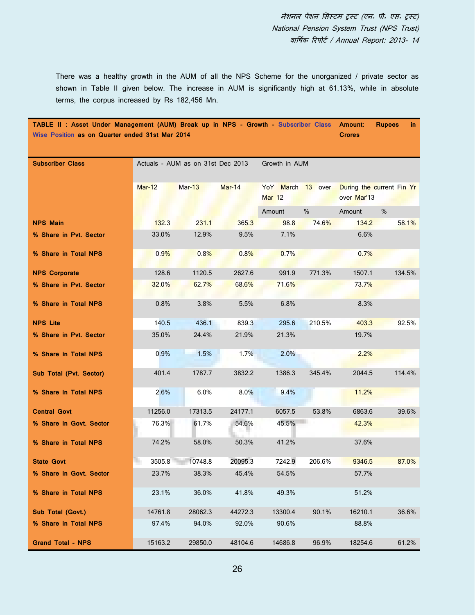There was a healthy growth in the AUM of all the NPS Scheme for the unorganized / private sector as shown in Table II given below. The increase in AUM is significantly high at 61.13%, while in absolute terms, the corpus increased by Rs 182,456 Mn.

| TABLE II: Asset Under Management (AUM) Break up in NPS - Growth - Subscriber Class Amount:<br>Wise Position as on Quarter ended 31st Mar 2014 |          |                                   |               |                                    |        | <b>Crores</b> | <b>Rupees</b><br>in.      |
|-----------------------------------------------------------------------------------------------------------------------------------------------|----------|-----------------------------------|---------------|------------------------------------|--------|---------------|---------------------------|
|                                                                                                                                               |          |                                   |               |                                    |        |               |                           |
| <b>Subscriber Class</b>                                                                                                                       |          | Actuals - AUM as on 31st Dec 2013 |               | Growth in AUM                      |        |               |                           |
|                                                                                                                                               |          |                                   |               |                                    |        |               |                           |
|                                                                                                                                               | $Mar-12$ | Mar-13                            | <b>Mar-14</b> | YoY March 13 over<br><b>Mar 12</b> |        | over Mar'13   | During the current Fin Yr |
|                                                                                                                                               |          |                                   |               | Amount                             | %      | Amount        | %                         |
| <b>NPS Main</b>                                                                                                                               | 132.3    | 231.1                             | 365.3         | 98.8                               | 74.6%  | 134.2         | 58.1%                     |
| % Share in Pvt. Sector                                                                                                                        | 33.0%    | 12.9%                             | 9.5%          | 7.1%                               |        | 6.6%          |                           |
| % Share in Total NPS                                                                                                                          | 0.9%     | 0.8%                              | 0.8%          | 0.7%                               |        | 0.7%          |                           |
| <b>NPS Corporate</b>                                                                                                                          | 128.6    | 1120.5                            | 2627.6        | 991.9                              | 771.3% | 1507.1        | 134.5%                    |
| % Share in Pvt. Sector                                                                                                                        | 32.0%    | 62.7%                             | 68.6%         | 71.6%                              |        | 73.7%         |                           |
| % Share in Total NPS                                                                                                                          | 0.8%     | 3.8%                              | 5.5%          | 6.8%                               |        | 8.3%          |                           |
| <b>NPS Lite</b>                                                                                                                               | 140.5    | 436.1                             | 839.3         | 295.6                              | 210.5% | 403.3         | 92.5%                     |
| % Share in Pvt. Sector                                                                                                                        | 35.0%    | 24.4%                             | 21.9%         | 21.3%                              |        | 19.7%         |                           |
| % Share in Total NPS                                                                                                                          | 0.9%     | 1.5%                              | 1.7%          | 2.0%                               |        | 2.2%          |                           |
| Sub Total (Pvt. Sector)                                                                                                                       | 401.4    | 1787.7                            | 3832.2        | 1386.3                             | 345.4% | 2044.5        | 114.4%                    |
| % Share in Total NPS                                                                                                                          | 2.6%     | 6.0%                              | 8.0%          | 9.4%                               |        | 11.2%         |                           |
| <b>Central Govt</b>                                                                                                                           | 11256.0  | 17313.5                           | 24177.1       | 6057.5                             | 53.8%  | 6863.6        | 39.6%                     |
| % Share in Govt. Sector                                                                                                                       | 76.3%    | 61.7%                             | 54.6%         | 45.5%                              |        | 42.3%         |                           |
| % Share in Total NPS                                                                                                                          | 74.2%    | 58.0%                             | 50.3%         | 41.2%                              |        | 37.6%         |                           |
| <b>State Govt</b>                                                                                                                             | 3505.8   | 10748.8                           | 20095.3       | 7242.9                             | 206.6% | 9346.5        | 87.0%                     |
| % Share in Govt. Sector                                                                                                                       | 23.7%    | 38.3%                             | 45.4%         | 54.5%                              |        | 57.7%         |                           |
| % Share in Total NPS                                                                                                                          | 23.1%    | 36.0%                             | 41.8%         | 49.3%                              |        | 51.2%         |                           |
| Sub Total (Govt.)                                                                                                                             | 14761.8  | 28062.3                           | 44272.3       | 13300.4                            | 90.1%  | 16210.1       | 36.6%                     |
| % Share in Total NPS                                                                                                                          | 97.4%    | 94.0%                             | 92.0%         | 90.6%                              |        | 88.8%         |                           |
| <b>Grand Total - NPS</b>                                                                                                                      | 15163.2  | 29850.0                           | 48104.6       | 14686.8                            | 96.9%  | 18254.6       | 61.2%                     |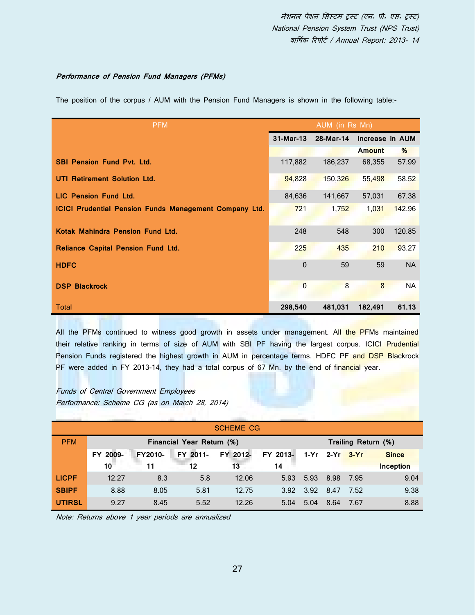## **Performance of Pension Fund Managers (PFMs)**

The position of the corpus / AUM with the Pension Fund Managers is shown in the following table:-

| <b>PFM</b>                                                    |                | AUM (in Rs Mn) |                 |           |
|---------------------------------------------------------------|----------------|----------------|-----------------|-----------|
|                                                               | 31-Mar-13      | 28-Mar-14      | Increase in AUM |           |
|                                                               |                |                | <b>Amount</b>   | %         |
| <b>SBI Pension Fund Pvt. Ltd.</b>                             | 117,882        | 186,237        | 68,355          | 57.99     |
| UTI Retirement Solution Ltd.                                  | 94,828         | 150,326        | 55,498          | 58.52     |
| <b>LIC Pension Fund Ltd.</b>                                  | 84,636         | 141,667        | 57,031          | 67.38     |
| <b>ICICI Prudential Pension Funds Management Company Ltd.</b> | 721            | 1,752          | 1,031           | 142.96    |
|                                                               |                |                |                 |           |
| Kotak Mahindra Pension Fund Ltd.                              | 248            | 548            | 300             | 120.85    |
| <b>Reliance Capital Pension Fund Ltd.</b>                     | 225            | 435            | 210             | 93.27     |
| <b>HDFC</b>                                                   | $\Omega$       | 59             | 59              | <b>NA</b> |
| <b>DSP Blackrock</b>                                          | $\overline{0}$ | 8              | 8               | <b>NA</b> |
| Total                                                         | 298,540        | 481,031        | 182,491         | 61.13     |

All the PFMs continued to witness good growth in assets under management. All the PFMs maintained their relative ranking in terms of size of AUM with SBI PF having the largest corpus. ICICI Prudential Pension Funds registered the highest growth in AUM in percentage terms. HDFC PF and DSP Blackrock PF were added in FY 2013-14, they had a total corpus of 67 Mn. by the end of financial year.

Funds of Central Government Employees Performance: Scheme CG (as on March 28, 2014)

|               |          |         |                           | <b>SCHEME CG</b> |          |           |                |                     |                  |
|---------------|----------|---------|---------------------------|------------------|----------|-----------|----------------|---------------------|------------------|
| <b>PFM</b>    |          |         | Financial Year Return (%) |                  |          |           |                | Trailing Return (%) |                  |
|               | FY 2009- | FY2010- | FY 2011-                  | FY 2012-         | FY 2013- |           | 1-Yr 2-Yr 3-Yr |                     | <b>Since</b>     |
|               | 10       | 11      | 12                        | 13               | 14       |           |                |                     | <b>Inception</b> |
| <b>LICPF</b>  | 12.27    | 8.3     | 5.8                       | 12.06            | 5.93     | 5.93      | 8.98 7.95      |                     | 9.04             |
| <b>SBIPF</b>  | 8.88     | 8.05    | 5.81                      | 12.75            |          | 3.92 3.92 | 8.47           | 7.52                | 9.38             |
| <b>UTIRSL</b> | 9.27     | 8.45    | 5.52                      | 12.26            | 5.04     | 5.04      | 8.64           | -7.67               | 8.88             |

Note: Returns above 1 year periods are annualized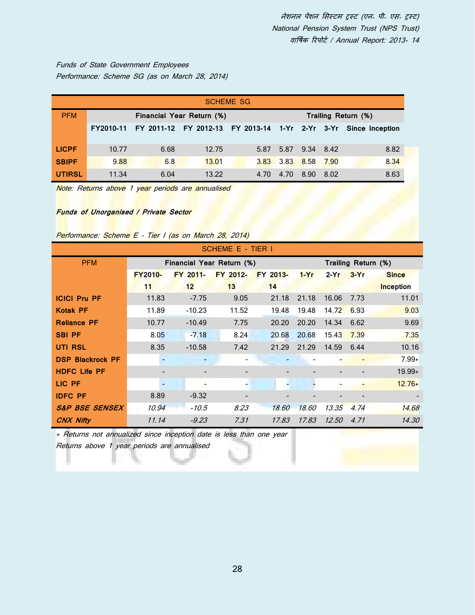Funds of State Government Employees Performance: Scheme SG (as on March 28, 2014)

| <b>SCHEME SG</b> |                                                  |      |       |      |           |                |      |                                                                 |  |  |
|------------------|--------------------------------------------------|------|-------|------|-----------|----------------|------|-----------------------------------------------------------------|--|--|
| <b>PFM</b>       | Financial Year Return (%)<br>Trailing Return (%) |      |       |      |           |                |      |                                                                 |  |  |
|                  | FY2010-11                                        |      |       |      |           |                |      | FY 2011-12 FY 2012-13 FY 2013-14 1-Yr 2-Yr 3-Yr Since Inception |  |  |
|                  |                                                  |      |       |      |           |                |      |                                                                 |  |  |
| <b>LICPF</b>     | 10.77                                            | 6.68 | 12.75 | 5.87 |           | 5.87 9.34 8.42 |      | 8.82                                                            |  |  |
| <b>SBIPF</b>     | 9.88                                             | 6.8  | 13.01 | 3.83 | 3.83 8.58 |                | 7.90 | 8.34                                                            |  |  |
| <b>UTIRSL</b>    | 11.34                                            | 6.04 | 13.22 | 4.70 | 4.70      | 8.90           | 8.02 | 8.63                                                            |  |  |

Note: Returns above 1 year periods are annualised

## **Funds of Unorganised / Private Sector**

## Performance: Scheme E - Tier I (as on March 28, 2014)

|                           |                          |                           | SCHEME E - TIER I |          |        |              |                     |                  |
|---------------------------|--------------------------|---------------------------|-------------------|----------|--------|--------------|---------------------|------------------|
| <b>PFM</b>                |                          | Financial Year Return (%) |                   |          |        |              | Trailing Return (%) |                  |
|                           | <b>FY2010-</b>           | FY 2011-                  | FY 2012-          | FY 2013- | $1-Yr$ | $2-Yr$       | $3-Yr$              | <b>Since</b>     |
|                           | 11                       | 12 <sup>2</sup>           | 13                | 14       |        |              |                     | <b>Inception</b> |
| <b>ICICI Pru PF</b>       | 11.83                    | $-7.75$                   | 9.05              | 21.18    | 21.18  | 16.06        | 7.73                | 11.01            |
| <b>Kotak PF</b>           | 11.89                    | $-10.23$                  | 11.52             | 19.48    | 19.48  | 14.72        | 6.93                | 9.03             |
| <b>Reliance PF</b>        | 10.77                    | $-10.49$                  | 7.75              | 20.20    | 20.20  | 14.34        | 6.62                | 9.69             |
| <b>SBI PF</b>             | 8.05                     | $-7.18$                   | 8.24              | 20.68    | 20.68  | 15.43        | 7.39                | 7.35             |
| UTI RSL                   | 8.35                     | $-10.58$                  | 7.42              | 21.29    | 21.29  | 14.59        | 6.44                | 10.16            |
| <b>DSP Blackrock PF</b>   |                          |                           |                   |          |        |              |                     | $7.99*$          |
| <b>HDFC Life PF</b>       |                          |                           |                   |          |        |              |                     | 19.99*           |
| LIC PF                    | $\overline{\phantom{a}}$ |                           | ٠                 |          |        |              |                     | $12.76*$         |
| <b>IDFC PF</b>            | 8.89                     | $-9.32$                   |                   |          |        |              |                     |                  |
| <b>S&amp;P BSE SENSEX</b> | 10.94                    | $-10.5$                   | 8.23              | 18.60    | 18.60  | 13.35        | 4.74                | 14.68            |
| <b>CNX Nifty</b>          | 11.14                    | $-9.23$                   | 7.31              | 17.83    | 17.83  | <i>12.50</i> | 4.71                | 14.30            |

\* Returns not annualized since inception date is less than one year

Returns above 1 year periods are annualised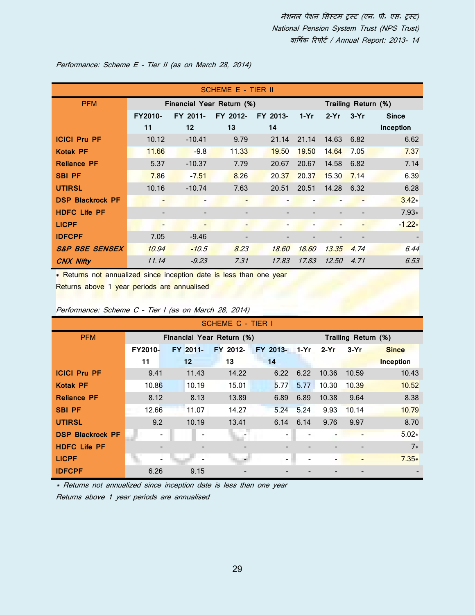|                           |                          |                           | SCHEME E - TIER II |          |        |                          |        |                     |
|---------------------------|--------------------------|---------------------------|--------------------|----------|--------|--------------------------|--------|---------------------|
| <b>PFM</b>                |                          | Financial Year Return (%) |                    |          |        |                          |        | Trailing Return (%) |
|                           | <b>FY2010-</b>           | FY 2011-                  | FY 2012-           | FY 2013- | $1-Yr$ | $2-Yr$                   | $3-Yr$ | <b>Since</b>        |
|                           | 11                       | 12 <sup>2</sup>           | 13                 | 14       |        |                          |        | Inception           |
| <b>ICICI Pru PF</b>       | 10.12                    | $-10.41$                  | 9.79               | 21.14    | 21.14  | 14.63                    | 6.82   | 6.62                |
| <b>Kotak PF</b>           | 11.66                    | $-9.8$                    | 11.33              | 19.50    | 19.50  | 14.64                    | 7.05   | 7.37                |
| <b>Reliance PF</b>        | 5.37                     | $-10.37$                  | 7.79               | 20.67    | 20.67  | 14.58                    | 6.82   | 7.14                |
| <b>SBI PF</b>             | 7.86                     | $-7.51$                   | 8.26               | 20.37    | 20.37  | 15.30                    | 7.14   | 6.39                |
| <b>UTIRSL</b>             | 10.16                    | $-10.74$                  | 7.63               | 20.51    | 20.51  | 14.28                    | 6.32   | 6.28                |
| <b>DSP Blackrock PF</b>   | $\overline{\phantom{a}}$ |                           |                    |          |        |                          |        | $3.42*$             |
| <b>HDFC Life PF</b>       | $\overline{\phantom{a}}$ |                           | -                  |          |        | $\overline{\phantom{0}}$ |        | $7.93*$             |
| <b>LICPF</b>              | $\overline{\phantom{0}}$ |                           |                    |          |        |                          |        | $-1.22*$            |
| <b>IDFCPF</b>             | 7.05                     | $-9.46$                   | -                  |          |        |                          |        |                     |
| <b>S&amp;P BSE SENSEX</b> | 10.94                    | $-10.5$                   | 8.23               | 18.60    | 18.60  | 13.35                    | 4.74   | 6.44                |
| <b>CNX Nifty</b>          | 11.14                    | $-9.23$                   | 7.31               | 17.83    | 17.83  | <i>12.50</i>             | 4.71   | 6.53                |

Performance: Scheme E – Tier II (as on March 28, 2014)

\* Returns not annualized since inception date is less than one year

Returns above 1 year periods are annualised

|                         |                |          | SCHEME C - TIER I         |                          |      |        |                     |                  |
|-------------------------|----------------|----------|---------------------------|--------------------------|------|--------|---------------------|------------------|
| <b>PFM</b>              |                |          | Financial Year Return (%) |                          |      |        | Trailing Return (%) |                  |
|                         | <b>FY2010-</b> | FY 2011- | FY 2012-                  | FY 2013-                 | 1-Yr | $2-Yr$ | $3-Yr$              | <b>Since</b>     |
|                         | 11             | 12       | 13                        | 14                       |      |        |                     | <b>Inception</b> |
| <b>ICICI Pru PF</b>     | 9.41           | 11.43    | 14.22                     | 6.22                     | 6.22 | 10.36  | 10.59               | 10.43            |
| <b>Kotak PF</b>         | 10.86          | 10.19    | 15.01                     | 5.77                     | 5.77 | 10.30  | 10.39               | 10.52            |
| <b>Reliance PF</b>      | 8.12           | 8.13     | 13.89                     | 6.89                     | 6.89 | 10.38  | 9.64                | 8.38             |
| <b>SBI PF</b>           | 12.66          | 11.07    | 14.27                     | 5.24                     | 5.24 | 9.93   | 10.14               | 10.79            |
| <b>UTIRSL</b>           | 9.2            | 10.19    | 13.41                     | 6.14                     | 6.14 | 9.76   | 9.97                | 8.70             |
| <b>DSP Blackrock PF</b> | -              |          |                           |                          |      |        |                     | $5.02*$          |
| <b>HDFC Life PF</b>     |                |          |                           |                          |      |        |                     | $7*$             |
| <b>LICPF</b>            |                |          |                           | $\overline{\phantom{0}}$ |      |        |                     | $7.35*$          |
| <b>IDFCPF</b>           | 6.26           | 9.15     |                           |                          |      |        |                     |                  |

Performance: Scheme C – Tier I (as on March 28, 2014)

\* Returns not annualized since inception date is less than one year

Returns above 1 year periods are annualised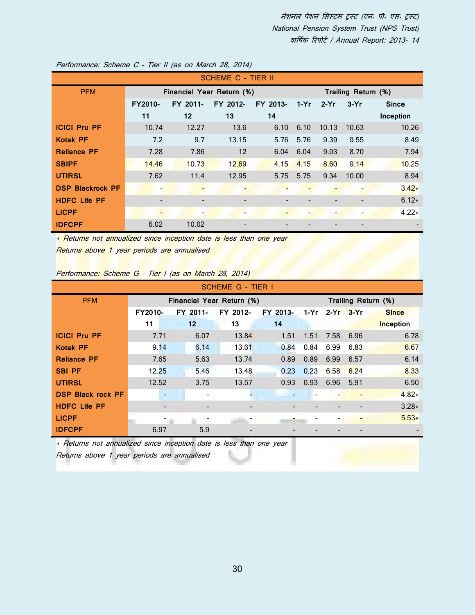|                         |                              |                           | <b>SCHEME C - TIER II</b> |                              |        |        |                     |              |
|-------------------------|------------------------------|---------------------------|---------------------------|------------------------------|--------|--------|---------------------|--------------|
| <b>PFM</b>              |                              | Financial Year Return (%) |                           |                              |        |        | Trailing Return (%) |              |
|                         | <b>FY2010-</b>               | FY 2011-                  | FY 2012-                  | FY 2013-                     | $1-Yr$ | $2-Yr$ | $3-Yr$              | <b>Since</b> |
|                         | 11                           | $12 \overline{ }$         | 13                        | 14                           |        |        |                     | Inception    |
| <b>ICICI Pru PF</b>     | 10.74                        | 12.27                     | 13.6                      | 6.10                         | 6.10   | 10.13  | 10.63               | 10.26        |
| <b>Kotak PF</b>         | 7.2                          | 9.7                       | 13.15                     | 5.76                         | 5.76   | 9.39   | 9.55                | 8.49         |
| <b>Reliance PF</b>      | 7.28                         | 7.86                      | $12 \overline{ }$         | 6.04                         | 6.04   | 9.03   | 8.70                | 7.94         |
| <b>SBIPF</b>            | 14.46                        | 10.73                     | 12.69                     | 4.15                         | 4.15   | 8.60   | 9.14                | 10.25        |
| <b>UTIRSL</b>           | 7.62                         | 11.4                      | 12.95                     | 5.75                         | 5.75   | 9.34   | 10.00               | 8.94         |
| <b>DSP Blackrock PF</b> | $\qquad \qquad \blacksquare$ | $\overline{\phantom{a}}$  |                           |                              |        |        |                     | $3.42*$      |
| <b>HDFC Life PF</b>     |                              | $\qquad \qquad -$         | $\qquad \qquad$           |                              |        |        |                     | $6.12*$      |
| <b>LICPF</b>            |                              | $\overline{\phantom{a}}$  | -                         | $\qquad \qquad \blacksquare$ |        | -      |                     | $4.22*$      |
| <b>IDFCPF</b>           | 6.02                         | 10.02                     |                           |                              |        |        |                     |              |

Performance: Scheme C – Tier II (as on March 28, 2014)

\* Returns not annualized since inception date is less than one year Returns above 1 year periods are annualised

Performance: Scheme G – Tier I (as on March 28, 2014)

|                          |                          |                           | <b>SCHEME G - TIER I</b> |          |      |        |        |                     |
|--------------------------|--------------------------|---------------------------|--------------------------|----------|------|--------|--------|---------------------|
| <b>PFM</b>               |                          | Financial Year Return (%) |                          |          |      |        |        | Trailing Return (%) |
|                          | FY2010-                  | FY 2011-                  | FY 2012-                 | FY 2013- | 1-Yr | $2-Yr$ | $3-Yr$ | <b>Since</b>        |
|                          | 11                       | $12 \overline{ }$         | 13                       | 14       |      |        |        | <b>Inception</b>    |
| <b>ICICI Pru PF</b>      | 7.71                     | 6.07                      | 13.84                    | 1.51     | 1.51 | 7.58   | 6.96   | 6.78                |
| <b>Kotak PF</b>          | 9.14                     | 6.14                      | 13.61                    | 0.84     | 0.84 | 6.99   | 6.83   | 6.67                |
| <b>Reliance PF</b>       | 7.65                     | 5.63                      | 13.74                    | 0.89     | 0.89 | 6.99   | 6.57   | 6.14                |
| <b>SBI PF</b>            | 12.25                    | 5.46                      | 13.48                    | 0.23     | 0.23 | 6.58   | 6.24   | 8.33                |
| <b>UTIRSL</b>            | 12.52                    | 3.75                      | 13.57                    | 0.93     | 0.93 | 6.96   | 5.91   | 6.50                |
| <b>DSP Black rock PF</b> | $\overline{\phantom{a}}$ | $\overline{\phantom{a}}$  |                          |          |      |        |        | $4.82*$             |
| <b>HDFC Life PF</b>      |                          |                           |                          |          |      |        |        | $3.28*$             |
| <b>LICPF</b>             |                          |                           |                          |          |      |        |        | $5.53*$             |
| <b>IDFCPF</b>            | 6.97                     | 5.9                       |                          |          |      |        |        |                     |

\* Returns not annualized since inception date is less than one year Returns above 1 year periods are annualised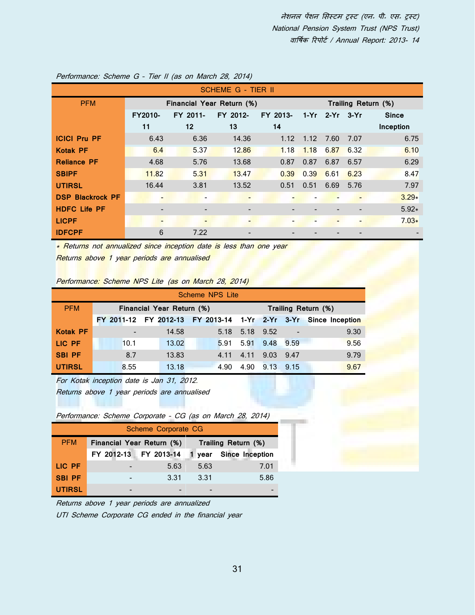|                         |                          |          | <b>SCHEME G - TIER II</b> |          |                     |                |                              |              |  |
|-------------------------|--------------------------|----------|---------------------------|----------|---------------------|----------------|------------------------------|--------------|--|
| <b>PFM</b>              |                          |          | Financial Year Return (%) |          | Trailing Return (%) |                |                              |              |  |
|                         | FY2010-                  | FY 2011- | FY 2012-                  | FY 2013- |                     | 1-Yr 2-Yr 3-Yr |                              | <b>Since</b> |  |
|                         | 11                       | 12       | 13                        | 14       |                     |                |                              | Inception    |  |
| <b>ICICI Pru PF</b>     | 6.43                     | 6.36     | 14.36                     | 1.12     | 1.12                | 7.60           | 7.07                         | 6.75         |  |
| <b>Kotak PF</b>         | 6.4                      | 5.37     | 12.86                     | 1.18     | 1.18                | 6.87           | 6.32                         | 6.10         |  |
| <b>Reliance PF</b>      | 4.68                     | 5.76     | 13.68                     | 0.87     | 0.87                | 6.87           | 6.57                         | 6.29         |  |
| <b>SBIPF</b>            | 11.82                    | 5.31     | 13.47                     | 0.39     | 0.39                | 6.61           | 6.23                         | 8.47         |  |
| <b>UTIRSL</b>           | 16.44                    | 3.81     | 13.52                     | 0.51     | 0.51                | 6.69           | 5.76                         | 7.97         |  |
| <b>DSP Blackrock PF</b> |                          |          |                           |          |                     |                |                              | $3.29*$      |  |
| <b>HDFC Life PF</b>     |                          |          |                           |          |                     |                |                              | $5.92*$      |  |
| <b>LICPF</b>            | $\overline{\phantom{0}}$ |          |                           |          |                     |                | $\qquad \qquad \blacksquare$ | $7.03*$      |  |
| <b>IDFCPF</b>           | 6                        | 7.22     |                           |          |                     |                |                              |              |  |

## Performance: Scheme G – Tier II (as on March 28, 2014)

\* Returns not annualized since inception date is less than one year

Returns above 1 year periods are annualised

| Performance: Scheme NPS Lite (as on March 28, 2014) |  |  |  |  |  |  |  |  |
|-----------------------------------------------------|--|--|--|--|--|--|--|--|
|-----------------------------------------------------|--|--|--|--|--|--|--|--|

| Scheme NPS Lite |      |                           |      |                     |      |                                                                 |  |  |  |  |
|-----------------|------|---------------------------|------|---------------------|------|-----------------------------------------------------------------|--|--|--|--|
| <b>PFM</b>      |      | Financial Year Return (%) |      | Trailing Return (%) |      |                                                                 |  |  |  |  |
|                 |      |                           |      |                     |      | FY 2011-12 FY 2012-13 FY 2013-14 1-Yr 2-Yr 3-Yr Since Inception |  |  |  |  |
| <b>Kotak PF</b> |      | 14.58                     | 5.18 | 5.18 9.52           |      | 9.30                                                            |  |  |  |  |
| LIC PF          | 10.1 | 13.02                     | 5.91 | 5.91 9.48 9.59      |      | 9.56                                                            |  |  |  |  |
| <b>SBI PF</b>   | 8.7  | 13.83                     | 4.11 | 9.03<br>4.11        | 9.47 | 9.79                                                            |  |  |  |  |
| <b>UTIRSL</b>   | 8.55 | 13.18                     | 4.90 | 4.90<br>9.13        | 9.15 | 9.67                                                            |  |  |  |  |

For Kotak inception date is Jan 31, 2012.

Returns above 1 year periods are annualised

| Performance: Scheme Corporate - CG (as on March 28, 2014) |  |  |  |  |
|-----------------------------------------------------------|--|--|--|--|
|-----------------------------------------------------------|--|--|--|--|

| Scheme Corporate CG |                           |      |                     |                        |  |  |  |  |
|---------------------|---------------------------|------|---------------------|------------------------|--|--|--|--|
| <b>PFM</b>          | Financial Year Return (%) |      | Trailing Return (%) |                        |  |  |  |  |
|                     | FY 2012-13 FY 2013-14     |      |                     | 1 year Since Inception |  |  |  |  |
| LIC PF              |                           | 5.63 | 5.63                | 7.01                   |  |  |  |  |
| <b>SBI PF</b>       |                           | 3.31 | 3.31                | 5.86                   |  |  |  |  |
| <b>UTIRSL</b>       |                           |      |                     |                        |  |  |  |  |

Returns above 1 year periods are annualized

UTI Scheme Corporate CG ended in the financial year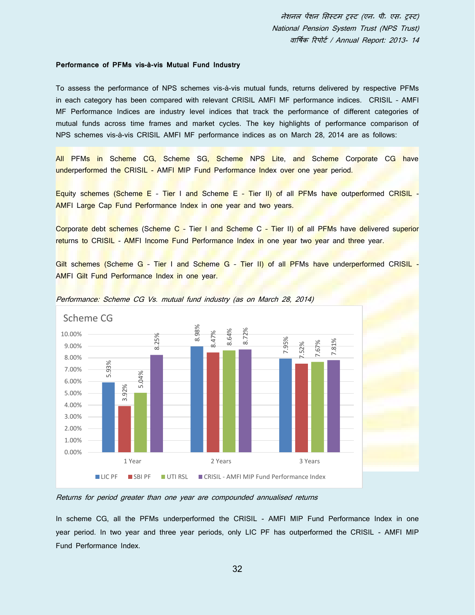#### **Performance of PFMs vis-à-vis Mutual Fund Industry**

To assess the performance of NPS schemes vis-à-vis mutual funds, returns delivered by respective PFMs in each category has been compared with relevant CRISIL AMFI MF performance indices. CRISIL – AMFI MF Performance Indices are industry level indices that track the performance of different categories of mutual funds across time frames and market cycles. The key highlights of performance comparison of NPS schemes vis-à-vis CRISIL AMFI MF performance indices as on March 28, 2014 are as follows:

All PFMs in Scheme CG, Scheme SG, Scheme NPS Lite, and Scheme Corporate CG have underperformed the CRISIL - AMFI MIP Fund Performance Index over one year period.

Equity schemes (Scheme E - Tier I and Scheme E - Tier II) of all PFMs have outperformed CRISIL -AMFI Large Cap Fund Performance Index in one year and two years.

Corporate debt schemes (Scheme C - Tier I and Scheme C - Tier II) of all PFMs have delivered superior returns to CRISIL - AMFI Income Fund Performance Index in one year two year and three year.

Gilt schemes (Scheme G - Tier I and Scheme G - Tier II) of all PFMs have underperformed CRISIL -AMFI Gilt Fund Performance Index in one year.





#### Returns for period greater than one year are compounded annualised returns

In scheme CG, all the PFMs underperformed the CRISIL - AMFI MIP Fund Performance Index in one year period. In two year and three year periods, only LIC PF has outperformed the CRISIL - AMFI MIP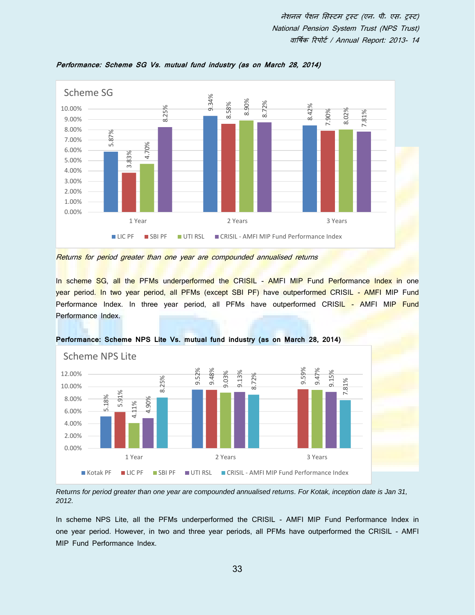

**Performance: Scheme SG Vs. mutual fund industry (as on March 28, 2014)**



In scheme SG, all the PFMs underperformed the CRISIL - AMFI MIP Fund Performance Index in one year period. In two year period, all PFMs (except SBI PF) have outperformed CRISIL - AMFI MIP Fund Performance Index. In three year period, all PFMs have outperformed CRISIL - AMFI MIP Fund Performance Index.



**Performance: Scheme NPS Lite Vs. mutual fund industry (as on March 28, 2014)**

*Returns for period greater than one year are compounded annualised returns. For Kotak, inception date is Jan 31, 2012.* 

In scheme NPS Lite, all the PFMs underperformed the CRISIL - AMFI MIP Fund Performance Index in one year period. However, in two and three year periods, all PFMs have outperformed the CRISIL - AMFI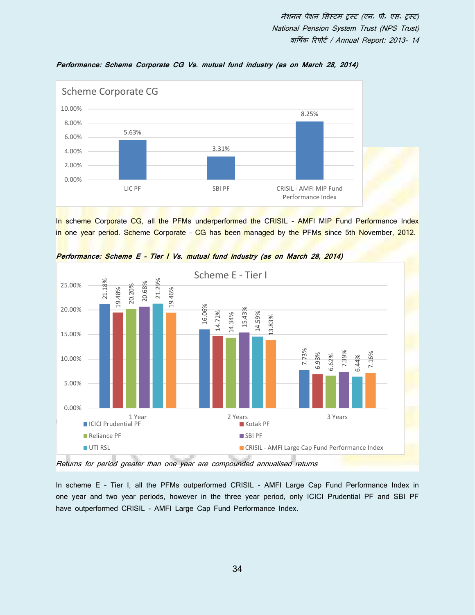

**Performance: Scheme Corporate CG Vs. mutual fund industry (as on March 28, 2014)**

In scheme Corporate CG, all the PFMs underperformed the CRISIL - AMFI MIP Fund Performance Index in one year period. Scheme Corporate - CG has been managed by the PFMs since 5th November, 2012.



**Performance: Scheme E – Tier I Vs. mutual fund industry (as on March 28, 2014)**

Returns for period greater than one year are compounded annualised returns

In scheme E - Tier I, all the PFMs outperformed CRISIL - AMFI Large Cap Fund Performance Index in one year and two year periods, however in the three year period, only ICICI Prudential PF and SBI PF have outperformed CRISIL - AMFI Large Cap Fund Performance Index.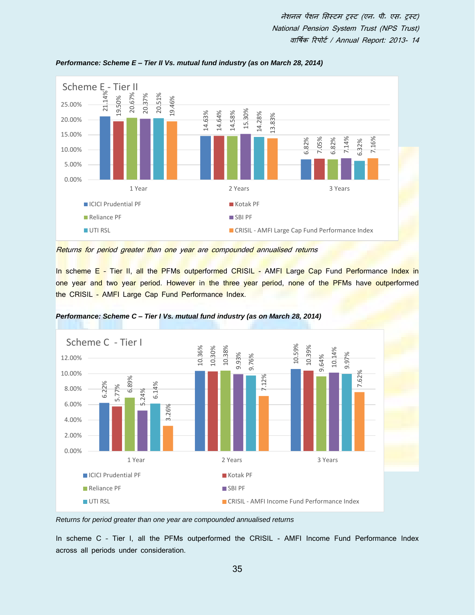

*Performance: Scheme E – Tier II Vs. mutual fund industry (as on March 28, 2014)*

Returns for period greater than one year are compounded annualised returns

In scheme E - Tier II, all the PFMs outperformed CRISIL - AMFI Large Cap Fund Performance Index in one year and two year period. However in the three year period, none of the PFMs have outperformed the CRISIL - AMFI Large Cap Fund Performance Index.



*Performance: Scheme C – Tier I Vs. mutual fund industry (as on March 28, 2014)*

*Returns for period greater than one year are compounded annualised returns* 

In scheme C – Tier I, all the PFMs outperformed the CRISIL - AMFI Income Fund Performance Index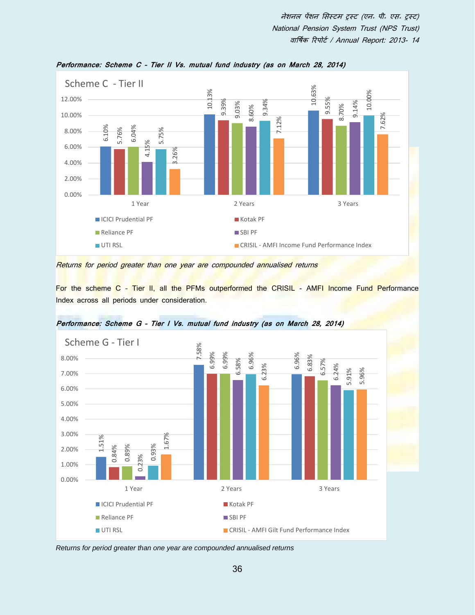

**Performance: Scheme C – Tier II Vs. mutual fund industry (as on March 28, 2014)**

Returns for period greater than one year are compounded annualised returns

For the scheme C - Tier II, all the PFMs outperformed the CRISIL - AMFI Income Fund Performance Index across all periods under consideration.



**Performance: Scheme G – Tier I Vs. mutual fund industry (as on March 28, 2014)**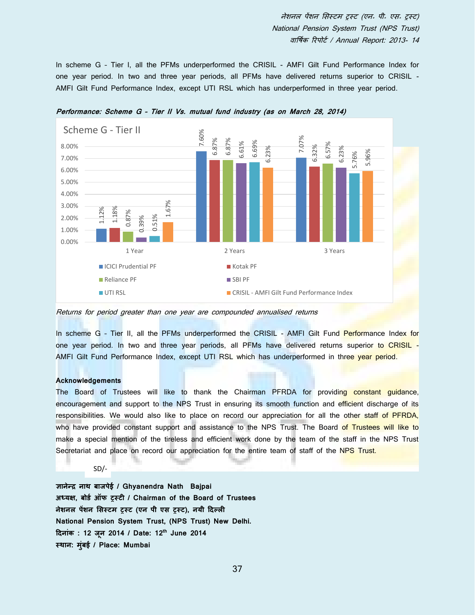In scheme G - Tier I, all the PFMs underperformed the CRISIL - AMFI Gilt Fund Performance Index for one year period. In two and three year periods, all PFMs have delivered returns superior to CRISIL - AMFI Gilt Fund Performance Index, except UTI RSL which has underperformed in three year period.



**Performance: Scheme G – Tier II Vs. mutual fund industry (as on March 28, 2014)**

Returns for period greater than one year are compounded annualised returns

In scheme G - Tier II, all the PFMs underperformed the CRISIL - AMFI Gilt Fund Performance Index for one year period. In two and three year periods, all PFMs have delivered returns superior to CRISIL -AMFI Gilt Fund Performance Index, except UTI RSL which has underperformed in three year period.

#### **Acknowledgements**

The Board of Trustees will like to thank the Chairman PFRDA for providing constant guidance, encouragement and support to the NPS Trust in ensuring its smooth function and efficient discharge of its responsibilities. We would also like to place on record our appreciation for all the other staff of PFRDA, who have provided constant support and assistance to the NPS Trust. The Board of Trustees will like to make a special mention of the tireless and efficient work done by the team of the staff in the NPS Trust Secretariat and place on record our appreciation for the entire team of staff of the NPS Trust.

SD/-

**ज्ञानेन्सर नार् िाजपेई / Ghyanendra Nath Bajpai अध्यक्ष, िोडा ऑफ ट्रस्टी / Chairman of the Board of Trustees नेशनल पेंशन मसस्टि ट्रस्ट (एन पी एस ट्रस्ट), नयी दि्ली National Pension System Trust, (NPS Trust) New Delhi. दिनांक : 12 जून 2014 / Date: 12th June 2014**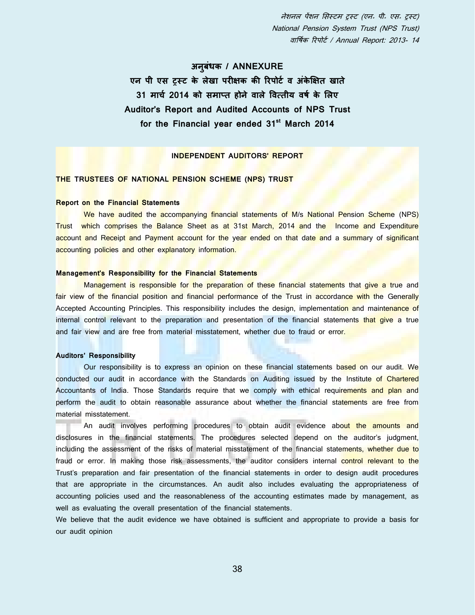## **अनिुधं क / ANNEXURE**

**एन पी एस ट्रस्ट के लेखा परीक्षक की ररपोटा व अंके क्षक्षत खाते 31 िाचा 2014 को सिाप्त होने वाले ववत्तीय वर्ा के मलए Auditor's Report and Audited Accounts of NPS Trust for the Financial year ended 31st March 2014**

## **INDEPENDENT AUDITORS' REPORT**

## **THE TRUSTEES OF NATIONAL PENSION SCHEME (NPS) TRUST**

## **Report on the Financial Statements**

We have audited the accompanying financial statements of M/s National Pension Scheme (NPS) Trust which comprises the Balance Sheet as at 31st March, 2014 and the Income and Expenditure account and Receipt and Payment account for the year ended on that date and a summary of significant accounting policies and other explanatory information.

### **Management's Responsibility for the Financial Statements**

Management is responsible for the preparation of these financial statements that give a true and fair view of the financial position and financial performance of the Trust in accordance with the Generally Accepted Accounting Principles. This responsibility includes the design, implementation and maintenance of internal control relevant to the preparation and presentation of the financial statements that give a true and fair view and are free from material misstatement, whether due to fraud or error.

#### **Auditors' Responsibility**

Our responsibility is to express an opinion on these financial statements based on our audit. We conducted our audit in accordance with the Standards on Auditing issued by the Institute of Chartered Accountants of India. Those Standards require that we comply with ethical requirements and plan and perform the audit to obtain reasonable assurance about whether the financial statements are free from material misstatement.

An audit involves performing procedures to obtain audit evidence about the amounts and disclosures in the financial statements. The procedures selected depend on the auditor's judgment, including the assessment of the risks of material misstatement of the financial statements, whether due to fraud or error. In making those risk assessments, the auditor considers internal control relevant to the Trust's preparation and fair presentation of the financial statements in order to design audit procedures that are appropriate in the circumstances. An audit also includes evaluating the appropriateness of accounting policies used and the reasonableness of the accounting estimates made by management, as well as evaluating the overall presentation of the financial statements.

We believe that the audit evidence we have obtained is sufficient and appropriate to provide a basis for our audit opinion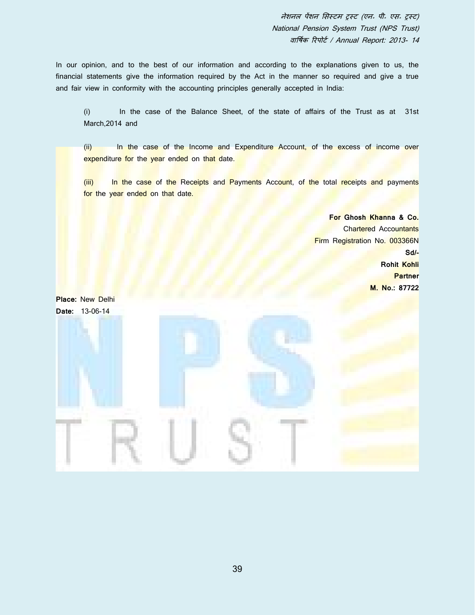In our opinion, and to the best of our information and according to the explanations given to us, the financial statements give the information required by the Act in the manner so required and give a true and fair view in conformity with the accounting principles generally accepted in India:

(i) In the case of the Balance Sheet, of the state of affairs of the Trust as at 31st March,2014 and

(ii) In the case of the Income and Expenditure Account, of the excess of income over expenditure for the year ended on that date.

(iii) In the case of the Receipts and Payments Account, of the total receipts and payments for the year ended on that date.

> **For Ghosh Khanna & Co.** Chartered Accountants Firm Registration No. 003366N **Sd/- Rohit Kohli Partner M. No.: 87722**

**Place:** New Delhi **Date:** 13-06-14

39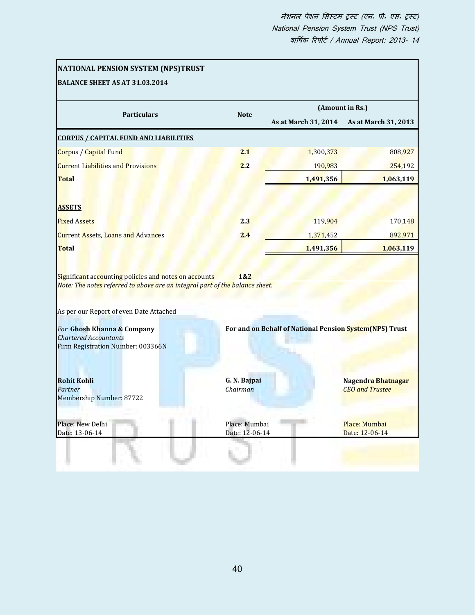|                                                                                                                                                                                                    |                          |                                                         | (Amount in Rs.)                              |
|----------------------------------------------------------------------------------------------------------------------------------------------------------------------------------------------------|--------------------------|---------------------------------------------------------|----------------------------------------------|
| <b>Particulars</b>                                                                                                                                                                                 | <b>Note</b>              | As at March 31, 2014                                    | As at March 31, 2013                         |
| <b>CORPUS / CAPITAL FUND AND LIABILITIES</b>                                                                                                                                                       |                          |                                                         |                                              |
| Corpus / Capital Fund                                                                                                                                                                              | 2.1                      | 1,300,373                                               | 808,927                                      |
| <b>Current Liabilities and Provisions</b>                                                                                                                                                          | 2.2                      | 190,983                                                 | 254,192                                      |
| <b>Total</b>                                                                                                                                                                                       |                          | 1,491,356                                               | 1,063,119                                    |
| <b>ASSETS</b>                                                                                                                                                                                      |                          |                                                         |                                              |
| <b>Fixed Assets</b>                                                                                                                                                                                | 2.3                      | 119,904                                                 | 170,148                                      |
|                                                                                                                                                                                                    | 2.4                      |                                                         | 892,971                                      |
|                                                                                                                                                                                                    |                          | 1,371,452                                               |                                              |
| <b>Current Assets, Loans and Advances</b><br><b>Total</b><br>Significant accounting policies and notes on accounts<br>Note: The notes referred to above are an integral part of the balance sheet. | 1&2                      | 1,491,356                                               | 1,063,119                                    |
|                                                                                                                                                                                                    |                          |                                                         |                                              |
| As per our Report of even Date Attached<br>For Ghosh Khanna & Company<br><b>Chartered Accountants</b><br>Firm Registration Number: 003366N                                                         |                          | For and on Behalf of National Pension System(NPS) Trust |                                              |
| <b>Rohit Kohli</b><br>Partner<br>Membership Number: 87722                                                                                                                                          | G. N. Bajpai<br>Chairman |                                                         | Nagendra Bhatnagar<br><b>CEO</b> and Trustee |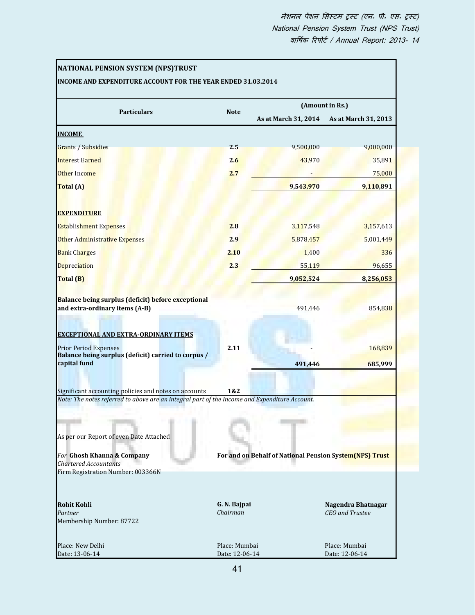| NATIONAL PENSION SYSTEM (NPS)TRUST<br>INCOME AND EXPENDITURE ACCOUNT FOR THE YEAR ENDED 31.03.2014                                                                                                                                          |                                 |                                                         |                                       |
|---------------------------------------------------------------------------------------------------------------------------------------------------------------------------------------------------------------------------------------------|---------------------------------|---------------------------------------------------------|---------------------------------------|
| <b>Particulars</b>                                                                                                                                                                                                                          | <b>Note</b>                     |                                                         | (Amount in Rs.)                       |
|                                                                                                                                                                                                                                             |                                 | As at March 31, 2014                                    | As at March 31, 2013                  |
| <b>INCOME</b>                                                                                                                                                                                                                               |                                 |                                                         |                                       |
| Grants / Subsidies                                                                                                                                                                                                                          | 2.5                             | 9,500,000                                               | 9,000,000                             |
| <b>Interest Earned</b>                                                                                                                                                                                                                      | 2.6                             | 43,970                                                  | 35,891                                |
| Other Income                                                                                                                                                                                                                                | 2.7                             |                                                         | 75,000                                |
| Total (A)                                                                                                                                                                                                                                   |                                 | 9,543,970                                               | 9,110,891                             |
| <b>EXPENDITURE</b>                                                                                                                                                                                                                          |                                 |                                                         |                                       |
| <b>Establishment Expenses</b>                                                                                                                                                                                                               | 2.8                             | 3,117,548                                               | 3,157,613                             |
| Other Administrative Expenses                                                                                                                                                                                                               | 2.9                             | 5,878,457                                               | 5,001,449                             |
| <b>Bank Charges</b>                                                                                                                                                                                                                         | 2.10                            | 1,400                                                   | 336                                   |
| <b>Depreciation</b>                                                                                                                                                                                                                         | 2.3                             | 55,119                                                  | 96,655                                |
| Total (B)                                                                                                                                                                                                                                   |                                 | 9,052,524                                               | 8,256,053                             |
| <b>EXCEPTIONAL AND EXTRA-ORDINARY ITEMS</b><br><b>Prior Period Expenses</b>                                                                                                                                                                 | 2.11                            |                                                         | 168,839                               |
| Balance being surplus (deficit) carried to corpus /<br>capital fund                                                                                                                                                                         |                                 | 491,446                                                 | 685,999                               |
| Significant accounting policies and notes on accounts                                                                                                                                                                                       | 1&2                             |                                                         |                                       |
| Note: The notes referred to above are an integral part of the Income and Expenditure Account.<br>As per our Report of even Date Attached<br>For Ghosh Khanna & Company<br><b>Chartered Accountants</b><br>Firm Registration Number: 003366N |                                 | For and on Behalf of National Pension System(NPS) Trust |                                       |
| <b>Rohit Kohli</b><br>Partner<br>Membership Number: 87722                                                                                                                                                                                   | G. N. Bajpai<br>Chairman        |                                                         | Nagendra Bhatnagar<br>CEO and Trustee |
| Place: New Delhi<br>Date: 13-06-14                                                                                                                                                                                                          | Place: Mumbai<br>Date: 12-06-14 |                                                         | Place: Mumbai<br>Date: 12-06-14       |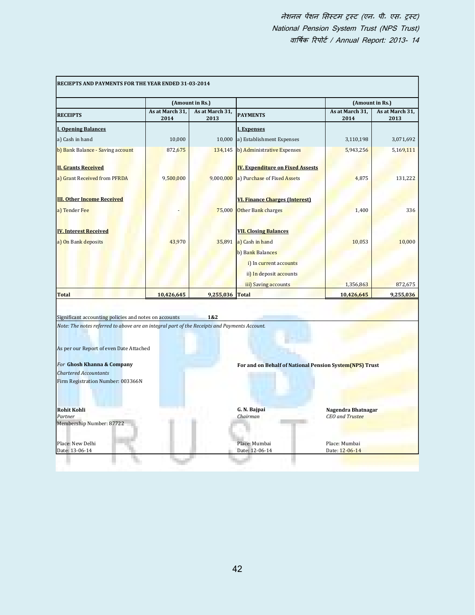|                                                                                                                                                                                                                                                                                                                                                                  |                         | (Amount in Rs.)         |                                                         |                         | (Amount in Rs.)         |  |
|------------------------------------------------------------------------------------------------------------------------------------------------------------------------------------------------------------------------------------------------------------------------------------------------------------------------------------------------------------------|-------------------------|-------------------------|---------------------------------------------------------|-------------------------|-------------------------|--|
| <b>RECEIPTS</b>                                                                                                                                                                                                                                                                                                                                                  | As at March 31,<br>2014 | As at March 31,<br>2013 | <b>PAYMENTS</b>                                         | As at March 31,<br>2014 | As at March 31,<br>2013 |  |
| <b>I. Opening Balances</b>                                                                                                                                                                                                                                                                                                                                       |                         |                         | <b>I. Expenses</b>                                      |                         |                         |  |
| a) Cash in hand                                                                                                                                                                                                                                                                                                                                                  | 10,000                  | 10,000                  | a) Establishment Expenses                               | 3,110,198               | 3,071,692               |  |
| b) Bank Balance - Saving account                                                                                                                                                                                                                                                                                                                                 | 872,675                 | 134,145                 | b) Administrative Expenses                              | 5,943,256               | 5,169,111               |  |
| <b>II. Grants Received</b>                                                                                                                                                                                                                                                                                                                                       |                         |                         | <b>IV. Expenditure on Fixed Assests</b>                 |                         |                         |  |
| a) Grant Received from PFRDA                                                                                                                                                                                                                                                                                                                                     | 9,500,000               | 9,000,000               | a) Purchase of Fixed Assets                             | 4,875                   | 131,222                 |  |
| <b>III. Other Income Received</b>                                                                                                                                                                                                                                                                                                                                |                         |                         | <b>VI. Finance Charges (Interest)</b>                   |                         |                         |  |
| a) Tender Fee                                                                                                                                                                                                                                                                                                                                                    |                         | 75,000                  | Other Bank charges                                      | 1,400                   | 336                     |  |
| <b>IV. Interest Received</b>                                                                                                                                                                                                                                                                                                                                     |                         |                         | <b>VII. Closing Balances</b>                            |                         |                         |  |
| a) On Bank deposits                                                                                                                                                                                                                                                                                                                                              | 43,970                  | 35,891                  | a) Cash in hand                                         | 10,053                  | 10,000                  |  |
|                                                                                                                                                                                                                                                                                                                                                                  |                         |                         | b) Bank Balances                                        |                         |                         |  |
|                                                                                                                                                                                                                                                                                                                                                                  |                         |                         | i) In current accounts                                  |                         |                         |  |
|                                                                                                                                                                                                                                                                                                                                                                  |                         |                         | ii) In deposit accounts                                 |                         |                         |  |
|                                                                                                                                                                                                                                                                                                                                                                  |                         |                         | iii) Saving accounts                                    | 1,356,863               | 872,675                 |  |
| <b>Total</b>                                                                                                                                                                                                                                                                                                                                                     | 10,426,645              | 9,255,036 Total         |                                                         | 10,426,645              | 9,255,036               |  |
|                                                                                                                                                                                                                                                                                                                                                                  |                         |                         |                                                         |                         |                         |  |
|                                                                                                                                                                                                                                                                                                                                                                  |                         | 1&2                     |                                                         |                         |                         |  |
|                                                                                                                                                                                                                                                                                                                                                                  |                         |                         |                                                         |                         |                         |  |
|                                                                                                                                                                                                                                                                                                                                                                  |                         |                         | For and on Behalf of National Pension System(NPS) Trust |                         |                         |  |
|                                                                                                                                                                                                                                                                                                                                                                  |                         |                         |                                                         |                         |                         |  |
|                                                                                                                                                                                                                                                                                                                                                                  |                         |                         |                                                         |                         |                         |  |
|                                                                                                                                                                                                                                                                                                                                                                  |                         |                         | G. N. Bajpai                                            | Nagendra Bhatnagar      |                         |  |
| Significant accounting policies and notes on accounts<br>Note: The notes referred to above are an integral part of the Receipts and Payments Account.<br>As per our Report of even Date Attached<br>For Ghosh Khanna & Company<br><b>Chartered Accountants</b><br>Firm Registration Number: 003366N<br><b>Rohit Kohli</b><br>Partner<br>Membership Number: 87722 |                         |                         | Chairman                                                | <b>CEO</b> and Trustee  |                         |  |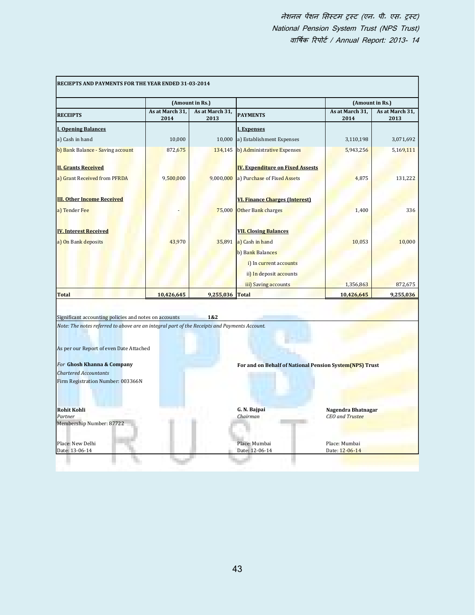|                                                                                                                                                                                                                                                                                                                                                                  |                         | (Amount in Rs.)         |                                                         |                         | (Amount in Rs.)         |  |
|------------------------------------------------------------------------------------------------------------------------------------------------------------------------------------------------------------------------------------------------------------------------------------------------------------------------------------------------------------------|-------------------------|-------------------------|---------------------------------------------------------|-------------------------|-------------------------|--|
| <b>RECEIPTS</b>                                                                                                                                                                                                                                                                                                                                                  | As at March 31,<br>2014 | As at March 31,<br>2013 | <b>PAYMENTS</b>                                         | As at March 31,<br>2014 | As at March 31,<br>2013 |  |
| <b>I. Opening Balances</b>                                                                                                                                                                                                                                                                                                                                       |                         |                         | <b>I. Expenses</b>                                      |                         |                         |  |
| a) Cash in hand                                                                                                                                                                                                                                                                                                                                                  | 10,000                  | 10,000                  | a) Establishment Expenses                               | 3,110,198               | 3,071,692               |  |
| b) Bank Balance - Saving account                                                                                                                                                                                                                                                                                                                                 | 872,675                 | 134,145                 | b) Administrative Expenses                              | 5,943,256               | 5,169,111               |  |
| <b>II. Grants Received</b>                                                                                                                                                                                                                                                                                                                                       |                         |                         | <b>IV. Expenditure on Fixed Assests</b>                 |                         |                         |  |
| a) Grant Received from PFRDA                                                                                                                                                                                                                                                                                                                                     | 9,500,000               | 9,000,000               | a) Purchase of Fixed Assets                             | 4,875                   | 131,222                 |  |
| <b>III. Other Income Received</b>                                                                                                                                                                                                                                                                                                                                |                         |                         | <b>VI. Finance Charges (Interest)</b>                   |                         |                         |  |
| a) Tender Fee                                                                                                                                                                                                                                                                                                                                                    |                         | 75,000                  | Other Bank charges                                      | 1,400                   | 336                     |  |
| <b>IV. Interest Received</b>                                                                                                                                                                                                                                                                                                                                     |                         |                         | <b>VII. Closing Balances</b>                            |                         |                         |  |
| a) On Bank deposits                                                                                                                                                                                                                                                                                                                                              | 43,970                  | 35,891                  | a) Cash in hand                                         | 10,053                  | 10,000                  |  |
|                                                                                                                                                                                                                                                                                                                                                                  |                         |                         | b) Bank Balances                                        |                         |                         |  |
|                                                                                                                                                                                                                                                                                                                                                                  |                         |                         | i) In current accounts                                  |                         |                         |  |
|                                                                                                                                                                                                                                                                                                                                                                  |                         |                         | ii) In deposit accounts                                 |                         |                         |  |
|                                                                                                                                                                                                                                                                                                                                                                  |                         |                         | iii) Saving accounts                                    | 1,356,863               | 872,675                 |  |
| <b>Total</b>                                                                                                                                                                                                                                                                                                                                                     | 10,426,645              | 9,255,036 Total         |                                                         | 10,426,645              | 9,255,036               |  |
|                                                                                                                                                                                                                                                                                                                                                                  |                         |                         |                                                         |                         |                         |  |
|                                                                                                                                                                                                                                                                                                                                                                  |                         | 1&2                     |                                                         |                         |                         |  |
|                                                                                                                                                                                                                                                                                                                                                                  |                         |                         |                                                         |                         |                         |  |
|                                                                                                                                                                                                                                                                                                                                                                  |                         |                         | For and on Behalf of National Pension System(NPS) Trust |                         |                         |  |
|                                                                                                                                                                                                                                                                                                                                                                  |                         |                         |                                                         |                         |                         |  |
|                                                                                                                                                                                                                                                                                                                                                                  |                         |                         |                                                         |                         |                         |  |
|                                                                                                                                                                                                                                                                                                                                                                  |                         |                         | G. N. Bajpai                                            | Nagendra Bhatnagar      |                         |  |
| Significant accounting policies and notes on accounts<br>Note: The notes referred to above are an integral part of the Receipts and Payments Account.<br>As per our Report of even Date Attached<br>For Ghosh Khanna & Company<br><b>Chartered Accountants</b><br>Firm Registration Number: 003366N<br><b>Rohit Kohli</b><br>Partner<br>Membership Number: 87722 |                         |                         | Chairman                                                | <b>CEO</b> and Trustee  |                         |  |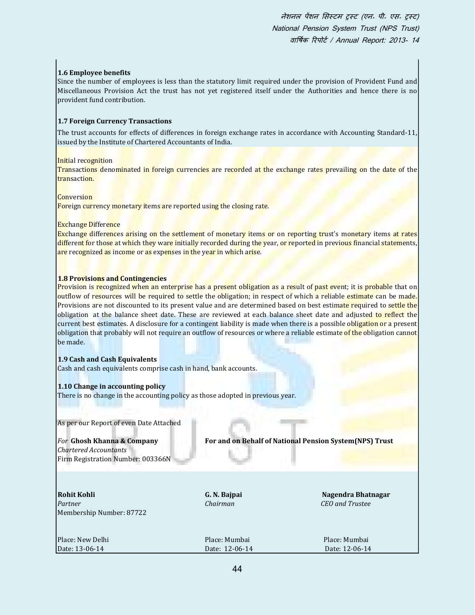## **1.6 Employee benefits**

Since the number of employees is less than the statutory limit required under the provision of Provident Fund and Miscellaneous Provision Act the trust has not yet registered itself under the Authorities and hence there is no provident fund contribution.

## **1.7 Foreign Currency Transactions**

The trust accounts for effects of differences in foreign exchange rates in accordance with Accounting Standard-11, issued by the Institute of Chartered Accountants of India.

Initial recognition

Transactions denominated in foreign currencies are recorded at the exchange rates prevailing on the date of the transaction.

**Conversion** 

Foreign currency monetary items are reported using the closing rate.

## Exchange Difference

Exchange differences arising on the settlement of monetary items or on reporting trust's monetary items at rates different for those at which they ware initially recorded during the year, or reported in previous financial statements, are recognized as income or as expenses in the year in which arise.

## **1.8 Provisions and Contingencies**

Provision is recognized when an enterprise has a present obligation as a result of past event; it is probable that on outflow of resources will be required to settle the obligation; in respect of which a reliable estimate can be made. Provisions are not discounted to its present value and are determined based on best estimate required to settle the obligation at the balance sheet date. These are reviewed at each balance sheet date and adjusted to reflect the current best estimates. A disclosure for a contingent liability is made when there is a possible obligation or a present obligation that probably will not require an outflow of resources or where a reliable estimate of the obligation cannot be made.

## **1.9 Cash and Cash Equivalents**

Cash and cash equivalents comprise cash in hand, bank accounts.

#### **1.10 Change in accounting policy**

There is no change in the accounting policy as those adopted in previous year.

As per our Report of even Date Attached

*Chartered Accountants* Firm Registration Number: 003366N

*For* **Ghosh Khanna & Company For and on Behalf of National Pension System(NPS) Trust**

**Rohit Kohli G. N. Bajpai Nagendra Bhatnagar** *Partner Chairman CEO and Trustee* Membership Number: 87722

| Place: New Delhi                 | Place: Mumbai<br>Place: Mumbai |  |
|----------------------------------|--------------------------------|--|
| Date: 13-06-14<br>Date: 12-06-14 | Date: 12-06-14                 |  |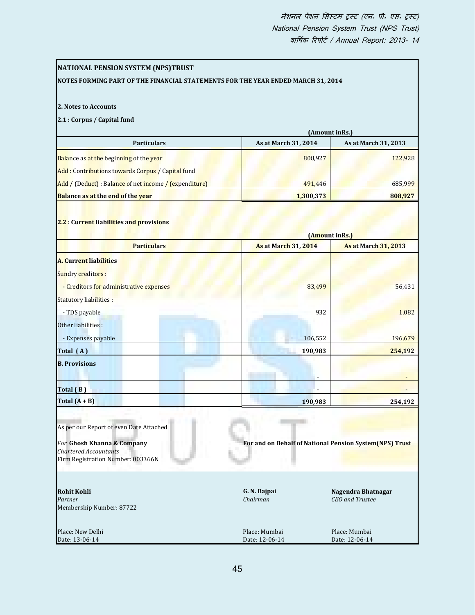| <b>NATIONAL PENSION SYSTEM (NPS)TRUST</b><br>NOTES FORMING PART OF THE FINANCIAL STATEMENTS FOR THE YEAR ENDED MARCH 31, 2014 |                                                         |                             |
|-------------------------------------------------------------------------------------------------------------------------------|---------------------------------------------------------|-----------------------------|
|                                                                                                                               |                                                         |                             |
| 2. Notes to Accounts                                                                                                          |                                                         |                             |
| 2.1 : Corpus / Capital fund                                                                                                   |                                                         |                             |
| <b>Particulars</b>                                                                                                            | (Amount inRs.)<br>As at March 31, 2014                  | As at March 31, 2013        |
|                                                                                                                               |                                                         |                             |
| <b>Balance as at the beginning of the year</b>                                                                                | 808,927                                                 | 122,928                     |
| Add: Contributions towards Corpus / Capital fund                                                                              |                                                         |                             |
| Add / (Deduct) : Balance of net income / (expenditure)                                                                        | 491,446                                                 | 685,999                     |
| <b>Balance as at the end of the year</b>                                                                                      | 1,300,373                                               | 808,927                     |
| 2.2 : Current liabilities and provisions                                                                                      |                                                         |                             |
| <b>Particulars</b>                                                                                                            | (Amount inRs.)<br><b>As at March 31, 2014</b>           | <b>As at March 31, 2013</b> |
|                                                                                                                               |                                                         |                             |
| <b>A. Current liabilities</b>                                                                                                 |                                                         |                             |
| <b>Sundry creditors:</b>                                                                                                      |                                                         |                             |
| - Creditors for administrative expenses                                                                                       | 83,499                                                  | 56,431                      |
| <b>Statutory liabilities:</b>                                                                                                 |                                                         |                             |
| - TDS payable                                                                                                                 | 932                                                     | 1,082                       |
| Other liabilities :                                                                                                           |                                                         |                             |
| - Expenses payable                                                                                                            | 106,552                                                 | 196,679                     |
| Total (A)                                                                                                                     | 190,983                                                 | 254,192                     |
| <b>B.</b> Provisions                                                                                                          |                                                         |                             |
|                                                                                                                               |                                                         |                             |
| Total (B)                                                                                                                     |                                                         |                             |
| Total $(A + B)$                                                                                                               | 190,983                                                 | 254,192                     |
|                                                                                                                               |                                                         |                             |
| As per our Report of even Date Attached                                                                                       |                                                         |                             |
| For Ghosh Khanna & Company                                                                                                    | For and on Behalf of National Pension System(NPS) Trust |                             |
| <b>Chartered Accountants</b>                                                                                                  |                                                         |                             |
| Firm Registration Number: 003366N                                                                                             |                                                         |                             |
|                                                                                                                               |                                                         |                             |
| <b>Rohit Kohli</b>                                                                                                            | G. N. Bajpai                                            | Nagendra Bhatnagar          |
| Partner<br>Membership Number: 87722                                                                                           | Chairman                                                | CEO and Trustee             |
|                                                                                                                               |                                                         |                             |
| Place: New Delhi                                                                                                              | Place: Mumbai                                           | Place: Mumbai               |
| Date: 13-06-14                                                                                                                | Date: 12-06-14                                          | Date: 12-06-14              |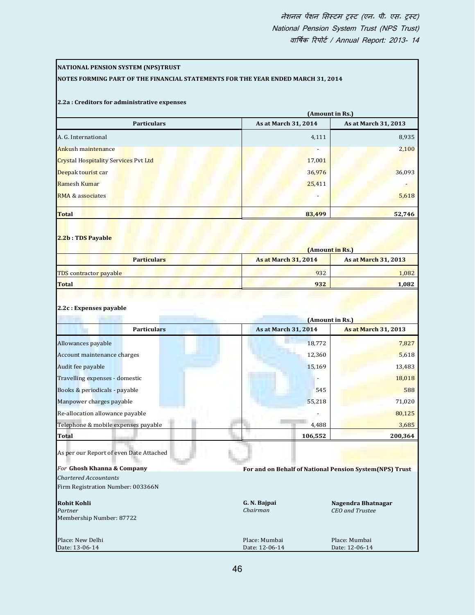| <b>NATIONAL PENSION SYSTEM (NPS)TRUST</b>                                        |                             |                                                         |
|----------------------------------------------------------------------------------|-----------------------------|---------------------------------------------------------|
| NOTES FORMING PART OF THE FINANCIAL STATEMENTS FOR THE YEAR ENDED MARCH 31, 2014 |                             |                                                         |
|                                                                                  |                             |                                                         |
| 2.2a : Creditors for administrative expenses                                     |                             | (Amount in Rs.)                                         |
| <b>Particulars</b>                                                               | As at March 31, 2014        | As at March 31, 2013                                    |
| A. G. International                                                              | 4,111                       | 8,935                                                   |
| <b>Ankush maintenance</b>                                                        |                             | 2,100                                                   |
| <b>Crystal Hospitality Services Pvt Ltd</b>                                      | 17,001                      |                                                         |
| Deepak tourist car                                                               | 36,976                      | 36,093                                                  |
| Ramesh Kumar                                                                     | 25,411                      |                                                         |
| <b>RMA &amp; associates</b>                                                      |                             | 5,618                                                   |
|                                                                                  |                             |                                                         |
| <b>Total</b>                                                                     | 83,499                      | 52,746                                                  |
|                                                                                  |                             |                                                         |
| 2.2b: TDS Payable                                                                |                             |                                                         |
| <b>Particulars</b>                                                               | <b>As at March 31, 2014</b> | (Amount in Rs.)<br><b>As at March 31, 2013</b>          |
| TDS contractor payable                                                           | 932                         | 1,082                                                   |
| <b>Total</b>                                                                     | 932                         | 1,082                                                   |
| 2.2c: Expenses payable                                                           |                             | (Amount in Rs.)                                         |
| <b>Particulars</b>                                                               | As at March 31, 2014        | <b>As at March 31, 2013</b>                             |
| Allowances payable                                                               | 18,772                      | 7,827                                                   |
| Account maintenance charges                                                      | 12,360                      | 5,618                                                   |
| Audit fee payable                                                                | 15,169                      | 13,483                                                  |
| Travelling expenses - domestic                                                   | $\overline{\phantom{m}}$    | 18,018                                                  |
| Books & periodicals - payable                                                    | 545                         | 588                                                     |
| Manpower charges payable                                                         | 55,218                      | 71,020                                                  |
| Re-allocation allowance payable                                                  |                             | 80,125                                                  |
| Telephone & mobile expenses payable                                              | 4,488                       | 3,685                                                   |
| <b>Total</b>                                                                     | 106,552                     | 200,364                                                 |
| As per our Report of even Date Attached                                          |                             |                                                         |
| For Ghosh Khanna & Company                                                       |                             | For and on Behalf of National Pension System(NPS) Trust |
| <b>Chartered Accountants</b>                                                     |                             |                                                         |
| Firm Registration Number: 003366N                                                |                             |                                                         |
| <b>Rohit Kohli</b>                                                               | G. N. Bajpai                | Nagendra Bhatnagar                                      |
| Partner                                                                          | Chairman                    | <b>CEO</b> and Trustee                                  |
| Membership Number: 87722                                                         |                             |                                                         |
| Place: New Delhi                                                                 | Place: Mumbai               | Place: Mumbai                                           |
| Date: 13-06-14                                                                   | Date: 12-06-14              | Date: 12-06-14                                          |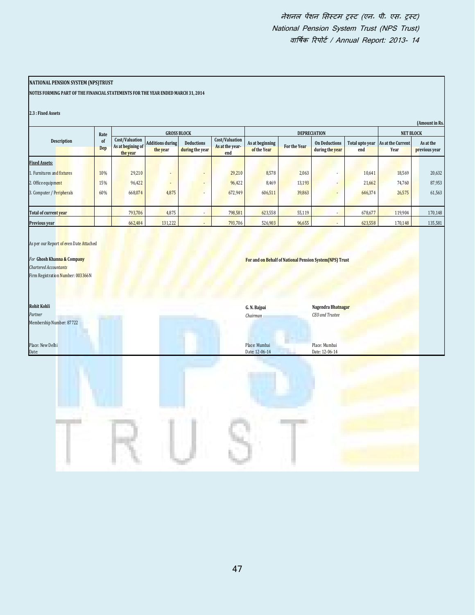## **NATIONAL PENSION SYSTEM (NPS)TRUST**

**NOTES FORMING PART OF THE FINANCIAL STATEMENTS FOR THE YEAR ENDED MARCH 31, 2014**

|                            |           |                                                 |                              |                                      |                                          |                                |              |                                         |                        |                                  | (Amount in Rs.             |
|----------------------------|-----------|-------------------------------------------------|------------------------------|--------------------------------------|------------------------------------------|--------------------------------|--------------|-----------------------------------------|------------------------|----------------------------------|----------------------------|
|                            | Rate      |                                                 |                              | <b>GROSS BLOCK</b>                   |                                          |                                |              | <b>DEPRECIATION</b>                     |                        | <b>NET BLOCK</b>                 |                            |
| <b>Description</b>         | of<br>Dep | Cost/Valuation<br>As at begining of<br>the year | Additions during<br>the year | <b>Deductions</b><br>during the year | Cost/Valuation<br>As at the year-<br>end | As at beginning<br>of the Year | For the Year | <b>On Deductions</b><br>during the year | Total upto year<br>end | As at the Current<br><b>Year</b> | As at the<br>previous year |
| <b>Fixed Assets:</b>       |           |                                                 |                              |                                      |                                          |                                |              |                                         |                        |                                  |                            |
| 1. Furnitures and fixtures | 10%       | 29,210                                          |                              |                                      | 29,210                                   | 8,578                          | 2,063        |                                         | 10,641                 | 18,569                           | 20,632                     |
| 2. Office equipment        | 15%       | 96,422                                          | $\overline{\phantom{a}}$     |                                      | 96,422                                   | 8,469                          | 13,193       | ۰                                       | 21,662                 | 74,760                           | 87,953                     |
| 3. Computer / Peripherals  | 60%       | 668,074                                         | 4,875                        |                                      | 672,949                                  | 606,511                        | 39,863       |                                         | 646,374                | 26,575                           | 61,563                     |
|                            |           |                                                 |                              |                                      |                                          |                                |              |                                         |                        |                                  |                            |
| Total of current vear      |           | 793,706                                         | 4,875                        |                                      | 798,581                                  | 623,558                        | 55,119       |                                         | 678,677                | 119,904                          | 170,148                    |
| Previous year              |           | 662,484                                         | 131,222                      |                                      | 793,706                                  | 526,903                        | 96,655       | ۰                                       | 623,558                | 170,148                          | 135,581                    |

|                                                                                                            | Rate      |                                                 | <b>GROSS BLOCK</b>                  |                                        |                                          |                                                         | <b>DEPRECIATION</b> |                                         |                        |                           | NET BLOCK                  |  |
|------------------------------------------------------------------------------------------------------------|-----------|-------------------------------------------------|-------------------------------------|----------------------------------------|------------------------------------------|---------------------------------------------------------|---------------------|-----------------------------------------|------------------------|---------------------------|----------------------------|--|
| Description                                                                                                | of<br>Dep | Cost/Valuation<br>As at begining of<br>the year | <b>Additions during</b><br>the year | $\mbox{Deductions}$<br>during the year | Cost/Valuation<br>As at the year-<br>end | As at beginning<br>of the Year                          | For the Year        | <b>On Deductions</b><br>during the year | Total upto year<br>end | As at the Current<br>Year | As at the<br>previous year |  |
| <b>Fixed Assets:</b>                                                                                       |           |                                                 |                                     |                                        |                                          |                                                         |                     |                                         |                        |                           |                            |  |
| 1. Furnitures and fixtures                                                                                 | 10%       | 29,210                                          |                                     | ٠                                      | 29,210                                   | 8,578                                                   | 2,063               |                                         | 10,641                 | 18,569                    | 20,632                     |  |
| 2. Office equipment                                                                                        | 15%       | 96,422                                          |                                     | ÷                                      | 96,422                                   | 8,469                                                   | 13,193              |                                         | 21,662                 | 74,760                    | 87,953                     |  |
| 3. Computer / Peripherals                                                                                  | 60%       | 668,074                                         | 4,875                               |                                        | 672,949                                  | 606,511                                                 | 39,863              |                                         | 646,374                | 26,575                    | 61,563                     |  |
| Total of current year                                                                                      |           | 793,706                                         | 4,875                               | $\overline{\phantom{a}}$               | 798,581                                  | 623,558                                                 | 55,119              | $\blacksquare$                          | 678,677                | 119,904                   | 170,148                    |  |
| Previous year                                                                                              |           | 662,484                                         | 131,222                             | $\overline{\phantom{a}}$               | 793,706                                  | 526,903                                                 | 96,655              | $\centerdot$                            | 623,558                | 170,148                   | 135,581                    |  |
| For Ghosh Kha <mark>nna &amp; Company</mark><br>Chartered Accountants<br>Firm Registration Number: 003366N |           |                                                 |                                     |                                        |                                          | For and on Behalf of National Pension System(NPS) Trust |                     |                                         |                        |                           |                            |  |
| <b>Rohit Kohli</b>                                                                                         |           |                                                 |                                     |                                        |                                          | G. N. Bajpai                                            |                     | Nagendra Bhatnagar                      |                        |                           |                            |  |
| Partner<br>Membership Number: 87722                                                                        |           |                                                 |                                     |                                        |                                          | Chairman                                                |                     | CEO and Trustee                         |                        |                           |                            |  |
| Place: New Delhi<br>Date:                                                                                  |           |                                                 |                                     |                                        |                                          | Place: Mumbai<br>Date: 12-06-14                         |                     | Place: Mumbai<br>Date: 12-06-14         |                        |                           |                            |  |
|                                                                                                            |           |                                                 |                                     |                                        |                                          |                                                         |                     |                                         |                        |                           |                            |  |
|                                                                                                            |           |                                                 |                                     |                                        |                                          |                                                         |                     |                                         |                        |                           |                            |  |
|                                                                                                            |           |                                                 |                                     |                                        |                                          |                                                         |                     |                                         |                        |                           |                            |  |
|                                                                                                            |           |                                                 |                                     |                                        |                                          |                                                         |                     |                                         |                        |                           |                            |  |
|                                                                                                            |           |                                                 |                                     |                                        | 47                                       |                                                         |                     |                                         |                        |                           |                            |  |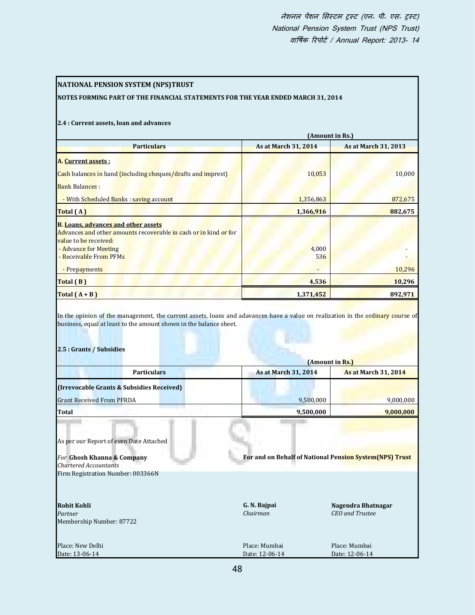| NATIONAL PENSION SYSTEM (NPS)TRUST                                                                                          |                                                         |                             |
|-----------------------------------------------------------------------------------------------------------------------------|---------------------------------------------------------|-----------------------------|
| NOTES FORMING PART OF THE FINANCIAL STATEMENTS FOR THE YEAR ENDED MARCH 31, 2014                                            |                                                         |                             |
|                                                                                                                             |                                                         |                             |
| 2.4 : Current assets, loan and advances                                                                                     |                                                         |                             |
|                                                                                                                             |                                                         | (Amount in Rs.)             |
| <b>Particulars</b>                                                                                                          | As at March 31, 2014                                    | As at March 31, 2013        |
| <mark>A. <u>Cu</u>rrent assets :</mark>                                                                                     |                                                         |                             |
| Cash balances in hand (including cheques/drafts and imprest)                                                                | 10,053                                                  | 10,000                      |
| <b>Bank Balances:</b>                                                                                                       |                                                         |                             |
| - With Scheduled Banks : saving account                                                                                     | 1,356,863                                               | 872,675                     |
| Total (A)                                                                                                                   | 1,366,916                                               | 882,675                     |
| <mark>B. <u>Loans, advances and other assets</u></mark><br>Advances and other amounts recoverable in cash or in kind or for |                                                         |                             |
| value to be received:                                                                                                       |                                                         |                             |
| - Advance for Meeting<br>- Receivable From PFMs                                                                             | 4,000<br>536                                            |                             |
| - Prepayments                                                                                                               |                                                         | 10,296                      |
| Total (B)                                                                                                                   | 4,536                                                   | 10,296                      |
| Total $(A + B)$                                                                                                             | 1,371,452                                               | 892,971                     |
| 2.5 : Grants / Subsidies                                                                                                    |                                                         |                             |
|                                                                                                                             | (Amount in Rs.                                          |                             |
| <b>Particulars</b>                                                                                                          | As at March 31, 2014                                    | <b>As at March 31, 2014</b> |
| (Irrevocable Grants & Subsidies Received)                                                                                   |                                                         |                             |
| <b>Grant Received From PFRDA</b>                                                                                            | 9,500,000                                               | 9,000,000                   |
| Total                                                                                                                       | 9,500,000                                               | 9,000,000                   |
|                                                                                                                             |                                                         |                             |
| As per our Report of even Date Attached                                                                                     |                                                         |                             |
| For Ghosh Khanna & Company                                                                                                  | For and on Behalf of National Pension System(NPS) Trust |                             |
| Chartered Accountants                                                                                                       |                                                         |                             |
| Firm Registration Number: 003366N                                                                                           |                                                         |                             |
|                                                                                                                             |                                                         |                             |
| Rohit Kohli                                                                                                                 | G. N. Bajpai                                            | Nagendra Bhatnagar          |
| Partner                                                                                                                     | Chairman                                                | CEO and Trustee             |
| Membership Number: 87722                                                                                                    |                                                         |                             |
| Place: New Delhi                                                                                                            |                                                         |                             |
|                                                                                                                             | Place: Mumbai                                           | Place: Mumbai               |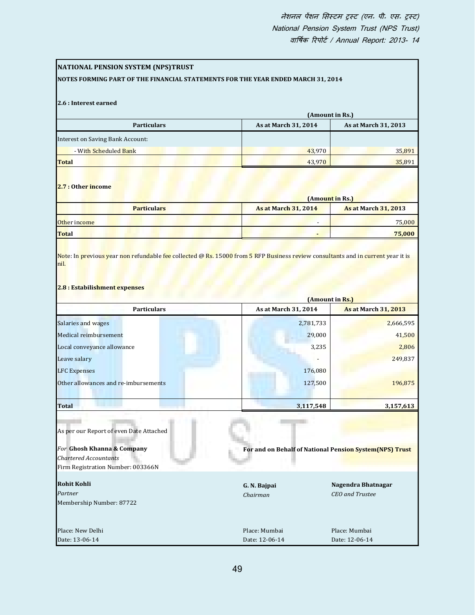| NATIONAL PENSION SYSTEM (NPS)TRUST<br>NOTES FORMING PART OF THE FINANCIAL STATEMENTS FOR THE YEAR ENDED MARCH 31, 2014 |                                                          |                                                |
|------------------------------------------------------------------------------------------------------------------------|----------------------------------------------------------|------------------------------------------------|
|                                                                                                                        |                                                          |                                                |
| 2.6 : Interest earned                                                                                                  |                                                          | (Amount in Rs.)                                |
| <b>Particulars</b>                                                                                                     | As at March 31, 2014                                     | As at March 31, 2013                           |
| <b>Interest on Saving Bank Account:</b>                                                                                |                                                          |                                                |
| - With Scheduled Bank                                                                                                  | 43,970                                                   | 35,891                                         |
| <b>Total</b>                                                                                                           | 43,970                                                   | 35,891                                         |
| 2.7 : Other income                                                                                                     |                                                          | (Amount in Rs.)                                |
| <b>Particulars</b>                                                                                                     | <b>As at March 31, 2014</b>                              | <b>As at March 31, 2013</b>                    |
| Other income                                                                                                           |                                                          | 75,000                                         |
| <b>Total</b>                                                                                                           |                                                          | 75,000                                         |
| 2.8 : Estabilishment expenses                                                                                          |                                                          |                                                |
| <b>Particulars</b>                                                                                                     | As at March 31, 2014                                     | (Amount in Rs.)<br><b>As at March 31, 2013</b> |
| Salaries and wages                                                                                                     | 2,781,733                                                | 2,666,595                                      |
| Medical reimbursement                                                                                                  | 29,000                                                   | 41,500                                         |
| Local conveyance allowance                                                                                             | 3,235                                                    | 2,806                                          |
| Leave salary                                                                                                           |                                                          | 249,837                                        |
| <b>LFC Expenses</b>                                                                                                    | 176,080                                                  |                                                |
| Other allowances and re-imbursements                                                                                   | 127,500                                                  | 196,875                                        |
| Total                                                                                                                  | 3,117,548                                                | 3,157,613                                      |
|                                                                                                                        |                                                          |                                                |
| As per our Report of even Date Attached                                                                                |                                                          |                                                |
| For Ghosh Khanna & Company<br>Chartered Accountants                                                                    | For and on Behalf of National Pension System (NPS) Trust |                                                |
| Firm Registration Number: 003366N                                                                                      |                                                          |                                                |
| <b>Rohit Kohli</b>                                                                                                     | G. N. Bajpai                                             | Nagendra Bhatnagar                             |
| Partner<br>Membership Number: 87722                                                                                    | Chairman                                                 | CEO and Trustee                                |
| Place: New Delhi                                                                                                       | Place: Mumbai                                            | Place: Mumbai                                  |
| Date: 13-06-14                                                                                                         | Date: 12-06-14                                           | Date: 12-06-14                                 |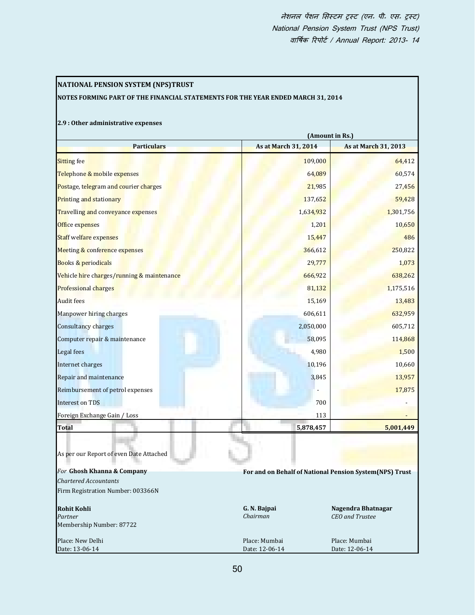# **NATIONAL PENSION SYSTEM (NPS)TRUST**

## **NOTES FORMING PART OF THE FINANCIAL STATEMENTS FOR THE YEAR ENDED MARCH 31, 2014**

## **2.9 : Other administrative expenses**

|                                                                |                                 | (Amount in Rs.)                                         |  |
|----------------------------------------------------------------|---------------------------------|---------------------------------------------------------|--|
| <b>Particulars</b>                                             | As at March 31, 2014            | As at March 31, 2013                                    |  |
| Sitting fee                                                    | 109,000                         | 64,412                                                  |  |
| Telephone & mobile expenses                                    | 64,089                          | 60,574                                                  |  |
| Postage, telegram and courier charges                          | 21,985                          | 27,456                                                  |  |
| <mark>Prin</mark> ting and stationary                          | 137,652                         | 59,428                                                  |  |
| <mark>Trav</mark> ellin <mark>g and conveyance expenses</mark> | 1,634,932                       | 1,301,756                                               |  |
| Office expenses                                                | 1,201                           | 10,650                                                  |  |
| Staff welfare expenses                                         | 15,447                          | 486                                                     |  |
| Meeting & conference expenses                                  | 366,612                         | 250,822                                                 |  |
| Books & periodicals                                            | 29,777                          | 1,073                                                   |  |
| <mark>Veh</mark> icle hire charges/running & maintenance       | 666,922                         | 638,262                                                 |  |
| Professional charges                                           | 81,132                          | 1,175,516                                               |  |
| <b>Audit fees</b>                                              | 15,169                          | 13,483                                                  |  |
| Manpower hiring charges                                        | 606,611                         | 632,959                                                 |  |
| Consultancy charges                                            | 2,050,000                       | 605,712                                                 |  |
| Computer repair & maintenance                                  | 58,095                          | 114,868                                                 |  |
| Legal fees                                                     | 4,980                           | 1,500                                                   |  |
| Internet charges                                               | 10,196                          | 10,660                                                  |  |
| Repair and maintenance                                         | 3,845                           | 13,957                                                  |  |
| Reimbursement of petrol expenses                               |                                 | 17,875                                                  |  |
| Interest on TDS                                                | 700                             |                                                         |  |
| Foreign Exchange Gain / Loss                                   | 113                             |                                                         |  |
| Total                                                          | 5,878,457                       | 5,001,449                                               |  |
| As per our Report of even Date Attached                        |                                 |                                                         |  |
| For Ghosh Khanna & Company                                     |                                 | For and on Behalf of National Pension System(NPS) Trust |  |
| <b>Chartered Accountants</b>                                   |                                 |                                                         |  |
| Firm Registration Number: 003366N                              |                                 |                                                         |  |
| <b>Rohit Kohli</b><br>Partner<br>Membership Number: 87722      | G. N. Bajpai<br>Chairman        | Nagendra Bhatnagar<br><b>CEO</b> and Trustee            |  |
| Place: New Delhi<br>Date: 13-06-14                             | Place: Mumbai<br>Date: 12-06-14 | Place: Mumbai<br>Date: 12-06-14                         |  |